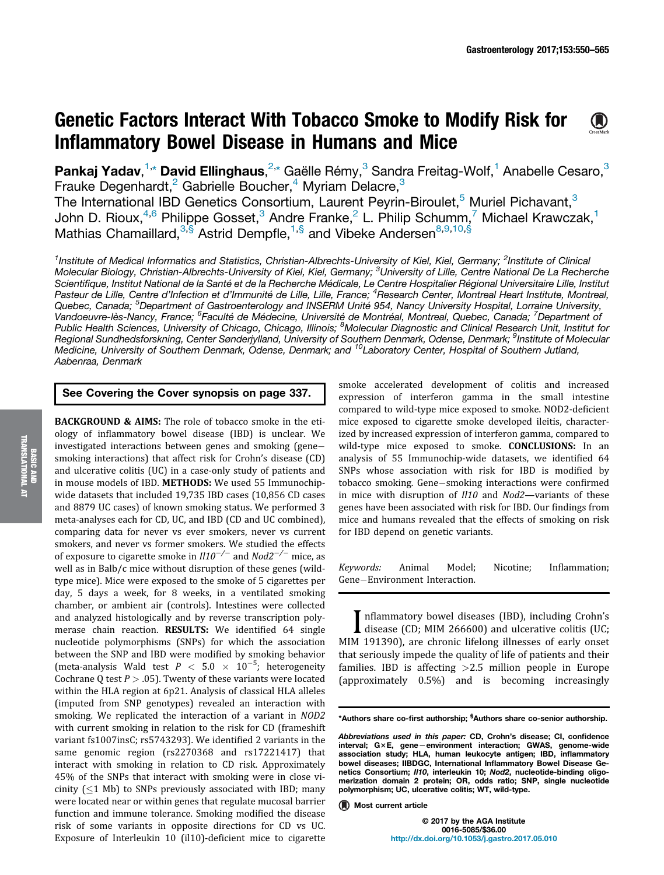## Genetic Factors Interact With Tobacco Smoke to Modify Risk for  $\bigcirc$ Inflammatory Bowel Disease in Humans and Mice

Pankaj Yadav,<sup>1,</sup>\* David Ellinghaus,<sup>2,\*</sup> Gaëlle Rémy,<sup>3</sup> Sandra Freitag-Wolf,<sup>1</sup> Anabelle Cesaro,<sup>3</sup> Frauke Degenhardt,<sup>2</sup> Gabrielle Boucher,<sup>4</sup> Myriam Delacre,<sup>3</sup> The International IBD Genetics Consortium, Laurent Peyrin-Biroulet,<sup>5</sup> Muriel Pichavant,<sup>3</sup> John D. Rioux,<sup>4,6</sup> Philippe Gosset,<sup>3</sup> Andre Franke,<sup>2</sup> L. Philip Schumm,<sup>7</sup> Michael Krawczak,<sup>1</sup> Mathias Chamaillard,<sup>3,§</sup> Astrid Dempfle,<sup>1,§</sup> and Vibeke Andersen<sup>8,9,10,§</sup>

<sup>1</sup>Institute of Medical Informatics and Statistics, Christian-Albrechts-University of Kiel, Kiel, Germany; <sup>2</sup>Institute of Clinical Molecular Biology, Christian-Albrechts-University of Kiel, Kiel, Germany; <sup>3</sup>University of Lille, Centre National De La Recherche Scientifique, Institut National de la Santé et de la Recherche Médicale, Le Centre Hospitalier Régional Universitaire Lille, Institut Pasteur de Lille, Centre d'Infection et d'Immunité de Lille, Lille, France; <sup>4</sup>Research Center, Montreal Heart Institute, Montreal, Quebec, Canada; <sup>5</sup>Department of Gastroenterology and INSERM Unité 954, Nancy University Hospital, Lorraine University, Vandoeuvre-lès-Nancy, France; <sup>6</sup>Faculté de Médecine, Université de Montréal, Montreal, Quebec, Canada; <sup>7</sup>Department of Public Health Sciences, University of Chicago, Chicago, Illinois; <sup>8</sup>Molecular Diagnostic and Clinical Research Unit, Institut for Regional Sundhedsforskning, Center Sønderjylland, University of Southern Denmark, Odense, Denmark; <sup>9</sup>Institute of Molecular Medicine, University of Southern Denmark, Odense, Denmark; and <sup>10</sup>Laboratory Center, Hospital of Southern Jutland, Aabenraa, Denmark

## See Covering the Cover synopsis on page 337.

BACKGROUND & AIMS: The role of tobacco smoke in the etiology of inflammatory bowel disease (IBD) is unclear. We investigated interactions between genes and smoking (gene smoking interactions) that affect risk for Crohn's disease (CD) and ulcerative colitis (UC) in a case-only study of patients and in mouse models of IBD. METHODS: We used 55 Immunochipwide datasets that included 19,735 IBD cases (10,856 CD cases and 8879 UC cases) of known smoking status. We performed 3 meta-analyses each for CD, UC, and IBD (CD and UC combined), comparing data for never vs ever smokers, never vs current smokers, and never vs former smokers. We studied the effects of exposure to cigarette smoke in  $ll$ 10 $^{-/-}$  and Nod2 $^{-/-}$  mice, as well as in Balb/c mice without disruption of these genes (wildtype mice). Mice were exposed to the smoke of 5 cigarettes per day, 5 days a week, for 8 weeks, in a ventilated smoking chamber, or ambient air (controls). Intestines were collected and analyzed histologically and by reverse transcription polymerase chain reaction. RESULTS: We identified 64 single nucleotide polymorphisms (SNPs) for which the association between the SNP and IBD were modified by smoking behavior (meta-analysis Wald test  $P < 5.0 \times 10^{-5}$ ; heterogeneity Cochrane Q test  $P > .05$ ). Twenty of these variants were located within the HLA region at 6p21. Analysis of classical HLA alleles (imputed from SNP genotypes) revealed an interaction with smoking. We replicated the interaction of a variant in NOD2 with current smoking in relation to the risk for CD (frameshift variant fs1007insC; rs5743293). We identified 2 variants in the same genomic region (rs2270368 and rs17221417) that interact with smoking in relation to CD risk. Approximately 45% of the SNPs that interact with smoking were in close vicinity  $(1 Mb)$  to SNPs previously associated with IBD; many were located near or within genes that regulate mucosal barrier function and immune tolerance. Smoking modified the disease risk of some variants in opposite directions for CD vs UC. Exposure of Interleukin 10 (il10)-deficient mice to cigarette

smoke accelerated development of colitis and increased expression of interferon gamma in the small intestine compared to wild-type mice exposed to smoke. NOD2-deficient mice exposed to cigarette smoke developed ileitis, characterized by increased expression of interferon gamma, compared to wild-type mice exposed to smoke. **CONCLUSIONS:** In an analysis of 55 Immunochip-wide datasets, we identified 64 SNPs whose association with risk for IBD is modified by tobacco smoking. Gene-smoking interactions were confirmed in mice with disruption of Il10 and Nod2—variants of these genes have been associated with risk for IBD. Our findings from mice and humans revealed that the effects of smoking on risk for IBD depend on genetic variants.

Keywords: Animal Model; Nicotine; Inflammation; Gene-Environment Interaction.

I nflammatory bowel diseases (IBD), including Crohn's<br>disease (CD; MIM 266600) and ulcerative colitis (UC;<br>M 101200) are abunita lifelang illnesses of early proof disease (CD; MIM 266600) and ulcerative colitis (UC; MIM 191390), are chronic lifelong illnesses of early onset that seriously impede the quality of life of patients and their families. IBD is affecting  $>2.5$  million people in Europe (approximately 0.5%) and is becoming increasingly

\*Authors share co-first authorship; <sup>§</sup>Authors share co-senior authorship.

© 2017 by the AGA Institute 0016-5085/\$36.00 http://dx.doi.org/10.1053/j.gastro.2017.05.010

Abbreviations used in this paper: CD, Crohn's disease; CI, confidence interval; G×E, gene-environment interaction; GWAS, genome-wide<br>association study; HLA, human leukocyte antigen; IBD, inflammatory bowel diseases; IIBDGC, International Inflammatory Bowel Disease Genetics Consortium; II10, interleukin 10; Nod2, nucleotide-binding oligomerization domain 2 protein; OR, odds ratio; SNP, single nucleotide polymorphism; UC, ulcerative colitis; WT, wild-type.

**Most current article**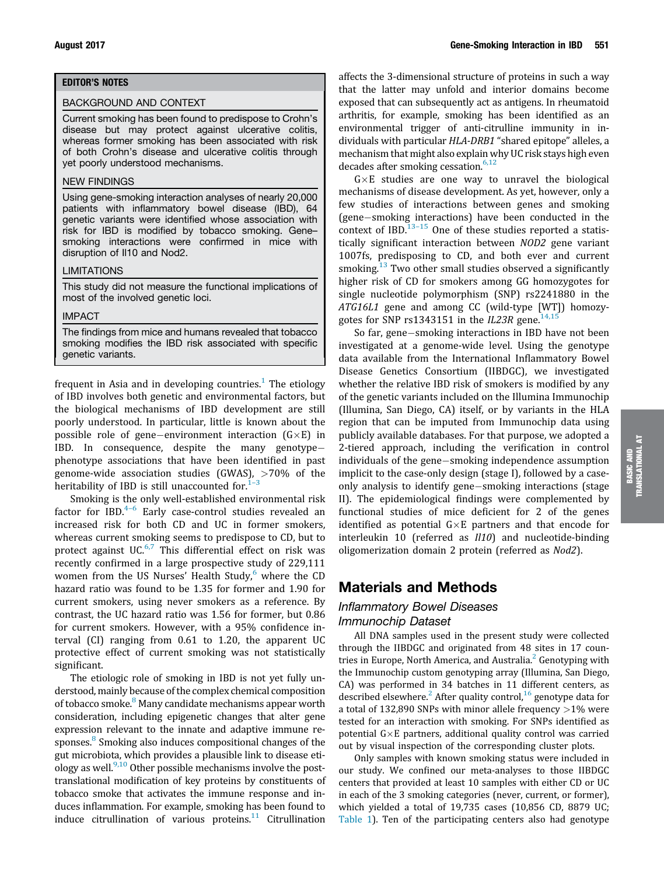#### EDITOR'S NOTES

#### BACKGROUND AND CONTEXT

Current smoking has been found to predispose to Crohn's disease but may protect against ulcerative colitis, whereas former smoking has been associated with risk of both Crohn's disease and ulcerative colitis through yet poorly understood mechanisms.

#### NEW FINDINGS

Using gene-smoking interaction analyses of nearly 20,000 patients with inflammatory bowel disease (IBD), 64 genetic variants were identified whose association with risk for IBD is modified by tobacco smoking. Gene– smoking interactions were confirmed in mice with disruption of Il10 and Nod2.

#### LIMITATIONS

This study did not measure the functional implications of most of the involved genetic loci.

#### IMPACT

The findings from mice and humans revealed that tobacco smoking modifies the IBD risk associated with specific genetic variants.

frequent in Asia and in developing countries.<sup>1</sup> The etiology of IBD involves both genetic and environmental factors, but the biological mechanisms of IBD development are still poorly understood. In particular, little is known about the possible role of gene-environment interaction  $(G \times E)$  in IBD. In consequence, despite the many genotype phenotype associations that have been identified in past genome-wide association studies (GWAS), >70% of the heritability of IBD is still unaccounted for. $1-3$ 

Smoking is the only well-established environmental risk factor for IBD.<sup>4-6</sup> Early case-control studies revealed an increased risk for both CD and UC in former smokers, whereas current smoking seems to predispose to CD, but to protect against UC.<sup>6,7</sup> This differential effect on risk was recently confirmed in a large prospective study of 229,111 women from the US Nurses' Health Study, $6$  where the CD hazard ratio was found to be 1.35 for former and 1.90 for current smokers, using never smokers as a reference. By contrast, the UC hazard ratio was 1.56 for former, but 0.86 for current smokers. However, with a 95% confidence interval (CI) ranging from 0.61 to 1.20, the apparent UC protective effect of current smoking was not statistically significant.

The etiologic role of smoking in IBD is not yet fully understood, mainly because of the complex chemical composition of tobacco smoke.<sup>8</sup> Many candidate mechanisms appear worth consideration, including epigenetic changes that alter gene expression relevant to the innate and adaptive immune responses. <sup>8</sup> Smoking also induces compositional changes of the gut microbiota, which provides a plausible link to disease etiology as well. $9,10$  Other possible mechanisms involve the posttranslational modification of key proteins by constituents of tobacco smoke that activates the immune response and induces inflammation. For example, smoking has been found to induce citrullination of various proteins. $11$  Citrullination

affects the 3-dimensional structure of proteins in such a way that the latter may unfold and interior domains become exposed that can subsequently act as antigens. In rheumatoid arthritis, for example, smoking has been identified as an environmental trigger of anti-citrulline immunity in individuals with particular HLA-DRB1 "shared epitope" alleles, a mechanism that might also explain why UC risk stays high even decades after smoking cessation. $6,12$ 

 $G \times E$  studies are one way to unravel the biological mechanisms of disease development. As yet, however, only a few studies of interactions between genes and smoking (gene-smoking interactions) have been conducted in the context of IBD. $13-15$  One of these studies reported a statistically significant interaction between NOD2 gene variant 1007fs, predisposing to CD, and both ever and current smoking.<sup>13</sup> Two other small studies observed a significantly higher risk of CD for smokers among GG homozygotes for single nucleotide polymorphism (SNP) rs2241880 in the ATG16L1 gene and among CC (wild-type [WT]) homozygotes for SNP rs1343151 in the IL23R gene.<sup>14,11</sup>

So far, gene-smoking interactions in IBD have not been investigated at a genome-wide level. Using the genotype data available from the International Inflammatory Bowel Disease Genetics Consortium (IIBDGC), we investigated whether the relative IBD risk of smokers is modified by any of the genetic variants included on the Illumina Immunochip (Illumina, San Diego, CA) itself, or by variants in the HLA region that can be imputed from Immunochip data using publicly available databases. For that purpose, we adopted a 2-tiered approach, including the verification in control individuals of the gene-smoking independence assumption implicit to the case-only design (stage I), followed by a caseonly analysis to identify gene-smoking interactions (stage II). The epidemiological findings were complemented by functional studies of mice deficient for 2 of the genes identified as potential  $G \times E$  partners and that encode for interleukin 10 (referred as *Il10*) and nucleotide-binding oligomerization domain 2 protein (referred as Nod2).

# Materials and Methods

## Inflammatory Bowel Diseases Immunochip Dataset

All DNA samples used in the present study were collected through the IIBDGC and originated from 48 sites in 17 countries in Europe, North America, and Australia. $^{\rm 2}$  Genotyping with the Immunochip custom genotyping array (Illumina, San Diego, CA) was performed in 34 batches in 11 different centers, as described elsewhere.<sup>2</sup> After quality control,<sup>16</sup> genotype data for a total of 132,890 SNPs with minor allele frequency  $>1\%$  were tested for an interaction with smoking. For SNPs identified as potential  $G \times E$  partners, additional quality control was carried out by visual inspection of the corresponding cluster plots.

Only samples with known smoking status were included in our study. We confined our meta-analyses to those IIBDGC centers that provided at least 10 samples with either CD or UC in each of the 3 smoking categories (never, current, or former), which yielded a total of 19,735 cases (10,856 CD, 8879 UC; Table 1). Ten of the participating centers also had genotype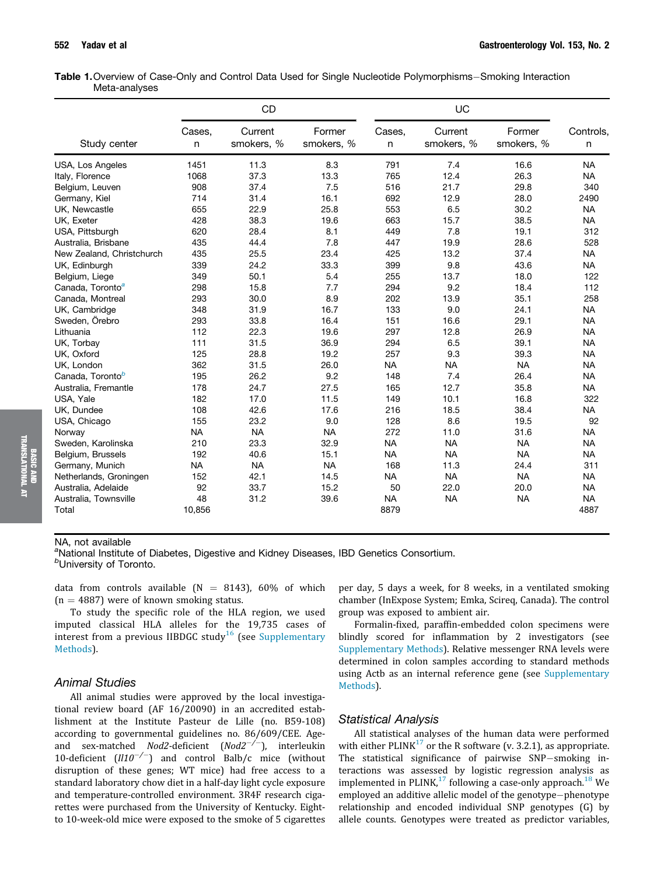| Table 1. Overview of Case-Only and Control Data Used for Single Nucleotide Polymorphisms–Smoking Interaction |  |  |  |  |
|--------------------------------------------------------------------------------------------------------------|--|--|--|--|
| Meta-analyses                                                                                                |  |  |  |  |

|                              |             | CD                    |                      |             | UC                    |                      |                |
|------------------------------|-------------|-----------------------|----------------------|-------------|-----------------------|----------------------|----------------|
| Study center                 | Cases,<br>n | Current<br>smokers, % | Former<br>smokers, % | Cases,<br>n | Current<br>smokers, % | Former<br>smokers, % | Controls,<br>n |
| <b>USA, Los Angeles</b>      | 1451        | 11.3                  | 8.3                  | 791         | 7.4                   | 16.6                 | <b>NA</b>      |
| Italy, Florence              | 1068        | 37.3                  | 13.3                 | 765         | 12.4                  | 26.3                 | <b>NA</b>      |
| Belgium, Leuven              | 908         | 37.4                  | 7.5                  | 516         | 21.7                  | 29.8                 | 340            |
| Germany, Kiel                | 714         | 31.4                  | 16.1                 | 692         | 12.9                  | 28.0                 | 2490           |
| UK, Newcastle                | 655         | 22.9                  | 25.8                 | 553         | 6.5                   | 30.2                 | <b>NA</b>      |
| UK, Exeter                   | 428         | 38.3                  | 19.6                 | 663         | 15.7                  | 38.5                 | <b>NA</b>      |
| USA, Pittsburgh              | 620         | 28.4                  | 8.1                  | 449         | 7.8                   | 19.1                 | 312            |
| Australia, Brisbane          | 435         | 44.4                  | 7.8                  | 447         | 19.9                  | 28.6                 | 528            |
| New Zealand, Christchurch    | 435         | 25.5                  | 23.4                 | 425         | 13.2                  | 37.4                 | <b>NA</b>      |
| UK, Edinburgh                | 339         | 24.2                  | 33.3                 | 399         | 9.8                   | 43.6                 | <b>NA</b>      |
| Belgium, Liege               | 349         | 50.1                  | 5.4                  | 255         | 13.7                  | 18.0                 | 122            |
| Canada, Toronto <sup>a</sup> | 298         | 15.8                  | 7.7                  | 294         | 9.2                   | 18.4                 | 112            |
| Canada, Montreal             | 293         | 30.0                  | 8.9                  | 202         | 13.9                  | 35.1                 | 258            |
| UK, Cambridge                | 348         | 31.9                  | 16.7                 | 133         | 9.0                   | 24.1                 | <b>NA</b>      |
| Sweden, Örebro               | 293         | 33.8                  | 16.4                 | 151         | 16.6                  | 29.1                 | <b>NA</b>      |
| Lithuania                    | 112         | 22.3                  | 19.6                 | 297         | 12.8                  | 26.9                 | <b>NA</b>      |
| UK, Torbay                   | 111         | 31.5                  | 36.9                 | 294         | 6.5                   | 39.1                 | <b>NA</b>      |
| UK, Oxford                   | 125         | 28.8                  | 19.2                 | 257         | 9.3                   | 39.3                 | <b>NA</b>      |
| UK, London                   | 362         | 31.5                  | 26.0                 | <b>NA</b>   | <b>NA</b>             | <b>NA</b>            | <b>NA</b>      |
| Canada, Toronto <sup>b</sup> | 195         | 26.2                  | 9.2                  | 148         | 7.4                   | 26.4                 | <b>NA</b>      |
| Australia, Fremantle         | 178         | 24.7                  | 27.5                 | 165         | 12.7                  | 35.8                 | <b>NA</b>      |
| USA, Yale                    | 182         | 17.0                  | 11.5                 | 149         | 10.1                  | 16.8                 | 322            |
| UK. Dundee                   | 108         | 42.6                  | 17.6                 | 216         | 18.5                  | 38.4                 | <b>NA</b>      |
| USA, Chicago                 | 155         | 23.2                  | 9.0                  | 128         | 8.6                   | 19.5                 | 92             |
| Norway                       | <b>NA</b>   | <b>NA</b>             | <b>NA</b>            | 272         | 11.0                  | 31.6                 | <b>NA</b>      |
| Sweden, Karolinska           | 210         | 23.3                  | 32.9                 | <b>NA</b>   | <b>NA</b>             | <b>NA</b>            | <b>NA</b>      |
| Belgium, Brussels            | 192         | 40.6                  | 15.1                 | <b>NA</b>   | <b>NA</b>             | <b>NA</b>            | <b>NA</b>      |
| Germany, Munich              | <b>NA</b>   | <b>NA</b>             | <b>NA</b>            | 168         | 11.3                  | 24.4                 | 311            |
| Netherlands, Groningen       | 152         | 42.1                  | 14.5                 | <b>NA</b>   | <b>NA</b>             | <b>NA</b>            | <b>NA</b>      |
| Australia, Adelaide          | 92          | 33.7                  | 15.2                 | 50          | 22.0                  | 20.0                 | <b>NA</b>      |
| Australia, Townsville        | 48          | 31.2                  | 39.6                 | <b>NA</b>   | <b>NA</b>             | <b>NA</b>            | <b>NA</b>      |
| Total                        | 10,856      |                       |                      | 8879        |                       |                      | 4887           |

#### NA, not available

<sup>a</sup>National Institute of Diabetes, Digestive and Kidney Diseases, IBD Genetics Consortium. <sup>b</sup>University of Toronto.

data from controls available ( $N = 8143$ ), 60% of which  $(n = 4887)$  were of known smoking status.

To study the specific role of the HLA region, we used imputed classical HLA alleles for the 19,735 cases of interest from a previous IIBDGC study<sup>16</sup> (see Supplementary Methods).

#### Animal Studies

All animal studies were approved by the local investigational review board (AF 16/20090) in an accredited establishment at the Institute Pasteur de Lille (no. B59-108) according to governmental guidelines no. 86/609/CEE. Ageand sex-matched *Nod2-deficient* (*Nod2<sup>-/-</sup>*), interleukin 10-deficient  $(III0^{-/-})$  and control Balb/c mice (without disruption of these genes; WT mice) had free access to a standard laboratory chow diet in a half-day light cycle exposure and temperature-controlled environment. 3R4F research cigarettes were purchased from the University of Kentucky. Eightto 10-week-old mice were exposed to the smoke of 5 cigarettes per day, 5 days a week, for 8 weeks, in a ventilated smoking chamber (InExpose System; Emka, Scireq, Canada). The control group was exposed to ambient air.

Formalin-fixed, paraffin-embedded colon specimens were blindly scored for inflammation by 2 investigators (see Supplementary Methods). Relative messenger RNA levels were determined in colon samples according to standard methods using Actb as an internal reference gene (see Supplementary Methods).

## Statistical Analysis

All statistical analyses of the human data were performed with either PLINK $^{17}$  or the R software (v. 3.2.1), as appropriate. The statistical significance of pairwise SNP-smoking interactions was assessed by logistic regression analysis as implemented in PLINK, $^{17}$  following a case-only approach. $^{18}$  We employed an additive allelic model of the genotype-phenotype relationship and encoded individual SNP genotypes (G) by allele counts. Genotypes were treated as predictor variables,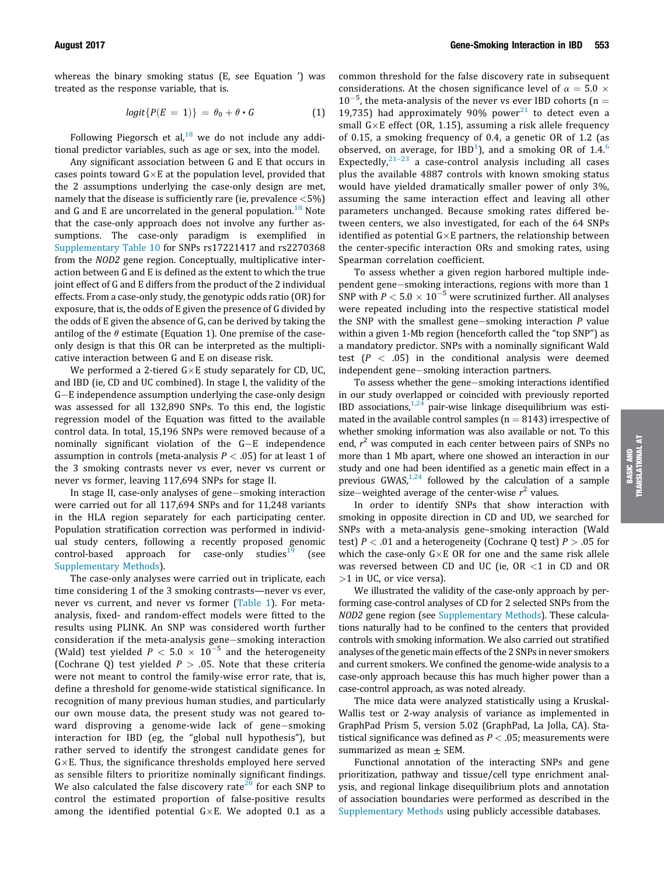whereas the binary smoking status (E, see Equation ') was treated as the response variable, that is.

$$
logit\{P(E = 1)\} = \theta_0 + \theta \cdot G \tag{1}
$$

Following Piegorsch et al,  $18$  we do not include any additional predictor variables, such as age or sex, into the model.

Any significant association between G and E that occurs in cases points toward  $G \times E$  at the population level, provided that the 2 assumptions underlying the case-only design are met, namely that the disease is sufficiently rare (ie, prevalence <5%) and G and E are uncorrelated in the general population.<sup>18</sup> Note that the case-only approach does not involve any further assumptions. The case-only paradigm is exemplified in Supplementary Table 10 for SNPs rs17221417 and rs2270368 from the NOD2 gene region. Conceptually, multiplicative interaction between G and E is defined as the extent to which the true joint effect of G and E differs from the product of the 2 individual effects. From a case-only study, the genotypic odds ratio (OR) for exposure, that is, the odds of E given the presence of G divided by the odds of E given the absence of G, can be derived by taking the antilog of the  $\theta$  estimate (Equation 1). One premise of the caseonly design is that this OR can be interpreted as the multiplicative interaction between G and E on disease risk.

We performed a 2-tiered  $G \times E$  study separately for CD, UC, and IBD (ie, CD and UC combined). In stage I, the validity of the G-E independence assumption underlying the case-only design was assessed for all 132,890 SNPs. To this end, the logistic regression model of the Equation was fitted to the available control data. In total, 15,196 SNPs were removed because of a nominally significant violation of the  $G-E$  independence assumption in controls (meta-analysis  $P < .05$ ) for at least 1 of the 3 smoking contrasts never vs ever, never vs current or never vs former, leaving 117,694 SNPs for stage II.

In stage II, case-only analyses of gene-smoking interaction were carried out for all 117,694 SNPs and for 11,248 variants in the HLA region separately for each participating center. Population stratification correction was performed in individual study centers, following a recently proposed genomic control-based approach for case-only studies<sup>19</sup> (see Supplementary Methods).

The case-only analyses were carried out in triplicate, each time considering 1 of the 3 smoking contrasts—never vs ever, never vs current, and never vs former (Table 1). For metaanalysis, fixed- and random-effect models were fitted to the results using PLINK. An SNP was considered worth further consideration if the meta-analysis gene-smoking interaction (Wald) test yielded  $P < 5.0 \times 10^{-5}$  and the heterogeneity (Cochrane Q) test yielded  $P > .05$ . Note that these criteria were not meant to control the family-wise error rate, that is, define a threshold for genome-wide statistical significance. In recognition of many previous human studies, and particularly our own mouse data, the present study was not geared toward disproving a genome-wide lack of gene-smoking interaction for IBD (eg, the "global null hypothesis"), but rather served to identify the strongest candidate genes for  $G \times E$ . Thus, the significance thresholds employed here served as sensible filters to prioritize nominally significant findings. We also calculated the false discovery rate<sup>20</sup> for each SNP to control the estimated proportion of false-positive results among the identified potential  $G \times E$ . We adopted 0.1 as a

common threshold for the false discovery rate in subsequent considerations. At the chosen significance level of  $\alpha = 5.0 \times$  $10^{-5}$ , the meta-analysis of the never vs ever IBD cohorts (n = 19,735) had approximately 90% power $^{21}$  to detect even a small  $G \times E$  effect (OR, 1.15), assuming a risk allele frequency of 0.15, a smoking frequency of 0.4, a genetic OR of 1.2 (as observed, on average, for  $IBD<sup>1</sup>$ ), and a smoking OR of 1.4.<sup>6</sup> Expectedly, $2^{1-23}$  a case-control analysis including all cases plus the available 4887 controls with known smoking status would have yielded dramatically smaller power of only 3%, assuming the same interaction effect and leaving all other parameters unchanged. Because smoking rates differed between centers, we also investigated, for each of the 64 SNPs identified as potential  $G \times E$  partners, the relationship between the center-specific interaction ORs and smoking rates, using Spearman correlation coefficient.

To assess whether a given region harbored multiple independent gene-smoking interactions, regions with more than 1 SNP with  $P < 5.0 \times 10^{-5}$  were scrutinized further. All analyses were repeated including into the respective statistical model the SNP with the smallest gene-smoking interaction  $P$  value within a given 1-Mb region (henceforth called the "top SNP") as a mandatory predictor. SNPs with a nominally significant Wald test  $(P < .05)$  in the conditional analysis were deemed independent gene-smoking interaction partners.

To assess whether the gene-smoking interactions identified in our study overlapped or coincided with previously reported IBD associations, $1,24$  pair-wise linkage disequilibrium was estimated in the available control samples ( $n = 8143$ ) irrespective of whether smoking information was also available or not. To this end,  $r^2$  was computed in each center between pairs of SNPs no more than 1 Mb apart, where one showed an interaction in our study and one had been identified as a genetic main effect in a previous GWAS, $1,24$  followed by the calculation of a sample size–weighted average of the center-wise  $r^2$  values.

In order to identify SNPs that show interaction with smoking in opposite direction in CD and UD, we searched for SNPs with a meta-analysis gene–smoking interaction (Wald test)  $P < .01$  and a heterogeneity (Cochrane Q test)  $P > .05$  for which the case-only  $G \times E$  OR for one and the same risk allele was reversed between CD and UC (ie,  $OR < 1$  in CD and OR >1 in UC, or vice versa).

We illustrated the validity of the case-only approach by performing case-control analyses of CD for 2 selected SNPs from the NOD2 gene region (see Supplementary Methods). These calculations naturally had to be confined to the centers that provided controls with smoking information. We also carried out stratified analyses of the genetic main effects of the 2 SNPs in never smokers and current smokers. We confined the genome-wide analysis to a case-only approach because this has much higher power than a case-control approach, as was noted already.

The mice data were analyzed statistically using a Kruskal-Wallis test or 2-way analysis of variance as implemented in GraphPad Prism 5, version 5.02 (GraphPad, La Jolla, CA). Statistical significance was defined as  $P < .05$ ; measurements were summarized as mean  $\pm$  SEM.

Functional annotation of the interacting SNPs and gene prioritization, pathway and tissue/cell type enrichment analysis, and regional linkage disequilibrium plots and annotation of association boundaries were performed as described in the Supplementary Methods using publicly accessible databases.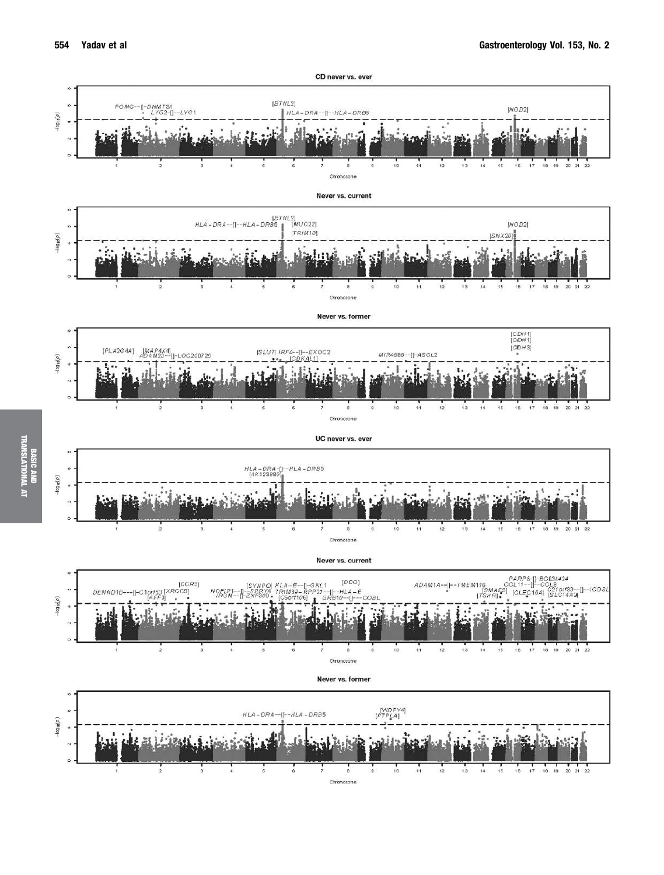TRANSLATIONAL AT

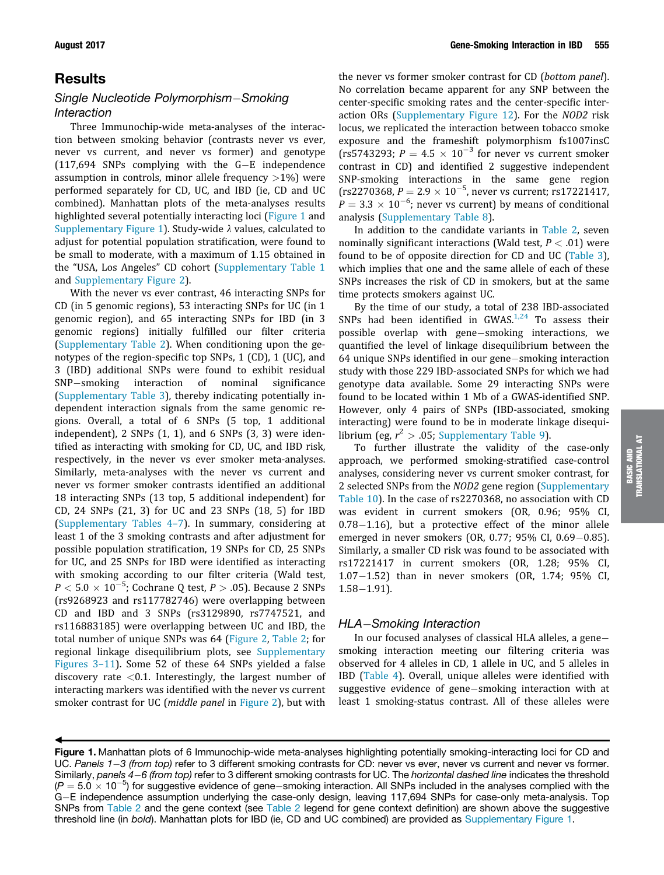# **Results**

 $\ddot{\phantom{0}}$ 

# Single Nucleotide Polymorphism-Smoking Interaction

Three Immunochip-wide meta-analyses of the interaction between smoking behavior (contrasts never vs ever, never vs current, and never vs former) and genotype  $(117,694$  SNPs complying with the G-E independence assumption in controls, minor allele frequency  $>1\%$ ) were performed separately for CD, UC, and IBD (ie, CD and UC combined). Manhattan plots of the meta-analyses results highlighted several potentially interacting loci (Figure 1 and Supplementary Figure 1). Study-wide  $\lambda$  values, calculated to adjust for potential population stratification, were found to be small to moderate, with a maximum of 1.15 obtained in the "USA, Los Angeles" CD cohort (Supplementary Table 1 and Supplementary Figure 2).

With the never vs ever contrast, 46 interacting SNPs for CD (in 5 genomic regions), 53 interacting SNPs for UC (in 1 genomic region), and 65 interacting SNPs for IBD (in 3 genomic regions) initially fulfilled our filter criteria (Supplementary Table 2). When conditioning upon the genotypes of the region-specific top SNPs, 1 (CD), 1 (UC), and 3 (IBD) additional SNPs were found to exhibit residual  $SNP$ -smoking interaction of nominal significance (Supplementary Table 3), thereby indicating potentially independent interaction signals from the same genomic regions. Overall, a total of 6 SNPs (5 top, 1 additional independent),  $2$  SNPs  $(1, 1)$ , and  $6$  SNPs  $(3, 3)$  were identified as interacting with smoking for CD, UC, and IBD risk, respectively, in the never vs ever smoker meta-analyses. Similarly, meta-analyses with the never vs current and never vs former smoker contrasts identified an additional 18 interacting SNPs (13 top, 5 additional independent) for CD, 24 SNPs (21, 3) for UC and 23 SNPs (18, 5) for IBD (Supplementary Tables 4–7). In summary, considering at least 1 of the 3 smoking contrasts and after adjustment for possible population stratification, 19 SNPs for CD, 25 SNPs for UC, and 25 SNPs for IBD were identified as interacting with smoking according to our filter criteria (Wald test,  $P < 5.0 \times 10^{-5}$ ; Cochrane Q test,  $P > .05$ ). Because 2 SNPs (rs9268923 and rs117782746) were overlapping between CD and IBD and 3 SNPs (rs3129890, rs7747521, and rs116883185) were overlapping between UC and IBD, the total number of unique SNPs was 64 (Figure 2, Table 2; for regional linkage disequilibrium plots, see Supplementary Figures 3–11). Some 52 of these 64 SNPs yielded a false discovery rate  $<$  0.1. Interestingly, the largest number of interacting markers was identified with the never vs current smoker contrast for UC (*middle panel* in Figure 2), but with

the never vs former smoker contrast for CD (bottom panel). No correlation became apparent for any SNP between the center-specific smoking rates and the center-specific interaction ORs (Supplementary Figure 12). For the NOD2 risk locus, we replicated the interaction between tobacco smoke exposure and the frameshift polymorphism fs1007insC (rs5743293;  $P = 4.5 \times 10^{-3}$  for never vs current smoker contrast in CD) and identified 2 suggestive independent SNP-smoking interactions in the same gene region  $(rs2270368, P = 2.9 \times 10^{-5}$ , never vs current; rs17221417,  $P = 3.3 \times 10^{-6}$ ; never vs current) by means of conditional analysis (Supplementary Table 8).

In addition to the candidate variants in Table 2, seven nominally significant interactions (Wald test,  $P < .01$ ) were found to be of opposite direction for CD and UC (Table 3), which implies that one and the same allele of each of these SNPs increases the risk of CD in smokers, but at the same time protects smokers against UC.

By the time of our study, a total of 238 IBD-associated SNPs had been identified in GWAS. $1,24$  To assess their possible overlap with gene-smoking interactions, we quantified the level of linkage disequilibrium between the 64 unique SNPs identified in our gene-smoking interaction study with those 229 IBD-associated SNPs for which we had genotype data available. Some 29 interacting SNPs were found to be located within 1 Mb of a GWAS-identified SNP. However, only 4 pairs of SNPs (IBD-associated, smoking interacting) were found to be in moderate linkage disequilibrium (eg,  $r^2 > .05$ ; Supplementary Table 9).

To further illustrate the validity of the case-only approach, we performed smoking-stratified case-control analyses, considering never vs current smoker contrast, for 2 selected SNPs from the NOD2 gene region (Supplementary Table 10). In the case of rs2270368, no association with CD was evident in current smokers (OR, 0.96; 95% CI,  $0.78-1.16$ ), but a protective effect of the minor allele emerged in never smokers (OR, 0.77; 95% CI, 0.69 $-0.85$ ). Similarly, a smaller CD risk was found to be associated with rs17221417 in current smokers (OR, 1.28; 95% CI, 1.07 $-1.52$ ) than in never smokers (OR, 1.74; 95% CI,  $1.58 - 1.91$ .

## HLA-Smoking Interaction

In our focused analyses of classical HLA alleles, a gene smoking interaction meeting our filtering criteria was observed for 4 alleles in CD, 1 allele in UC, and 5 alleles in IBD (Table 4). Overall, unique alleles were identified with suggestive evidence of gene-smoking interaction with at least 1 smoking-status contrast. All of these alleles were

Figure 1. Manhattan plots of 6 Immunochip-wide meta-analyses highlighting potentially smoking-interacting loci for CD and UC. Panels  $1-3$  (from top) refer to 3 different smoking contrasts for CD: never vs ever, never vs current and never vs former. Similarly, panels 4–6 (from top) refer to 3 different smoking contrasts for UC. The horizontal dashed line indicates the threshold  $(P = 5.0 \times 10^{-5})$  for suggestive evidence of gene-smoking interaction. All SNPs included in the analyses complied with the G-E independence assumption underlying the case-only design, leaving 117,694 SNPs for case-only meta-analysis. Top SNPs from Table 2 and the gene context (see Table 2 legend for gene context definition) are shown above the suggestive threshold line (in bold). Manhattan plots for IBD (ie, CD and UC combined) are provided as Supplementary Figure 1.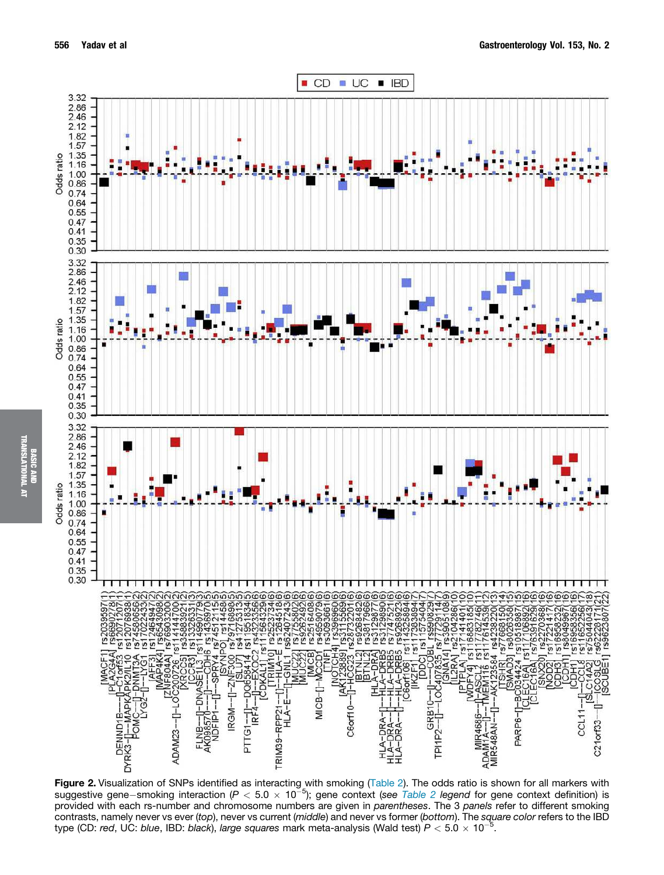

Figure 2. Visualization of SNPs identified as interacting with smoking (Table 2). The odds ratio is shown for all markers with suggestive gene–smoking interaction ( $P < 5.0 \times 10^{-5}$ ); gene context (see Table 2 legend for gene context definition) is provided with each rs-number and chromosome numbers are given in parentheses. The 3 panels refer to different smoking contrasts, namely never vs ever (top), never vs current (middle) and never vs former (bottom). The square color refers to the IBD type (CD: red, UC: blue, IBD: black), large squares mark meta-analysis (Wald test)  $P < 5.0 \times 10^{-5}$ .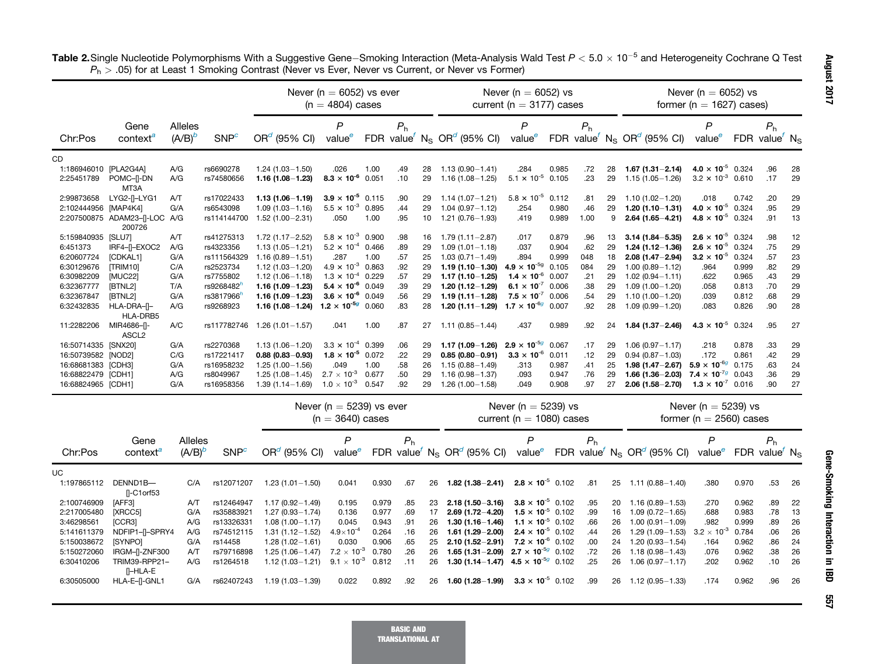|                       |                                    |           |                         |                     | Never ( $n = 6052$ ) vs ever<br>$(n = 4804)$ cases |       |                |    |                                          | Never ( $n = 6052$ ) vs<br>current ( $n = 3177$ ) cases |       |                |    |                                                                | Never ( $n = 6052$ ) vs<br>former ( $n = 1627$ ) cases) |       |                |    |
|-----------------------|------------------------------------|-----------|-------------------------|---------------------|----------------------------------------------------|-------|----------------|----|------------------------------------------|---------------------------------------------------------|-------|----------------|----|----------------------------------------------------------------|---------------------------------------------------------|-------|----------------|----|
|                       | Gene                               | Alleles   |                         |                     | P                                                  |       | P <sub>h</sub> |    |                                          | P                                                       |       | P <sub>h</sub> |    |                                                                | P                                                       |       | P <sub>h</sub> |    |
| Chr:Pos               | context <sup>a</sup>               | $(A/B)^b$ | <b>SNP</b> <sup>c</sup> | $OR^{d}$ (95% CI)   | value <sup>e</sup>                                 |       |                |    | FDR value $N_S$ OR <sup>d</sup> (95% CI) | value <sup>e</sup>                                      |       |                |    | FDR value <sup>f</sup> N <sub>S</sub> OR <sup>d</sup> (95% CI) | value <sup>e</sup>                                      | FDR   | value' $N_S$   |    |
| СD                    |                                    |           |                         |                     |                                                    |       |                |    |                                          |                                                         |       |                |    |                                                                |                                                         |       |                |    |
| 1:186946010 [PLA2G4A] |                                    | A/G       | rs6690278               | $1.24(1.03 - 1.50)$ | .026                                               | 1.00  | .49            | 28 | $1.13(0.90 - 1.41)$                      | .284                                                    | 0.985 | .72            | 28 | $1.67(1.31 - 2.14)$                                            | 4.0 $\times$ 10 <sup>-5</sup> 0.324                     |       | .96            | 28 |
| 2:25451789            | POMC-II-DN<br>MT3A                 | A/G       | rs74580656              | $1.16(1.08 - 1.23)$ | $8.3 \times 10^{-6}$                               | 0.051 | .10            | 29 | $1.16(1.08 - 1.25)$                      | $5.1 \times 10^{-5}$                                    | 0.105 | .23            | 29 | $1.15(1.05 - 1.26)$                                            | $3.2 \times 10^{-3}$ 0.610                              |       | .17            | 29 |
| 2:99873658            | LYG2-I-LYG1                        | A/T       | rs17022433              | $1.13(1.06 - 1.19)$ | $3.9 \times 10^{-5}$ 0.115                         |       | .90            | 29 | $1.14(1.07 - 1.21)$                      | $5.8 \times 10^{-5}$                                    | 0.112 | .81            | 29 | $1.10(1.02 - 1.20)$                                            | .018                                                    | 0.742 | .20            | 29 |
| 2:102444956           | [MAP4K4]                           | G/A       | rs6543098               | $1.09(1.03 - 1.16)$ | $5.5 \times 10^{-3}$ 0.895                         |       | .44            | 29 | $1.04(0.97 - 1.12)$                      | .254                                                    | 0.980 | .46            | 29 | $1.20(1.10 - 1.31)$                                            | 4.0 $\times$ 10 <sup>-5</sup> 0.324                     |       | .95            | 29 |
|                       | 2:207500875 ADAM23-[-LOC<br>200726 | A/G       | rs114144700             | $1.52(1.00 - 2.31)$ | .050                                               | 1.00  | .95            | 10 | $1.21(0.76 - 1.93)$                      | .419                                                    | 0.989 | 1.00           | 9  | $2.64(1.65 - 4.21)$                                            | 4.8 $\times$ 10 <sup>-5</sup> 0.324                     |       | .91            | 13 |
| 5:159840935           | [SLU7]                             | A/T       | rs41275313              | $1.72(1.17 - 2.52)$ | $5.8 \times 10^{-3}$ 0.900                         |       | .98            | 16 | $1.79(1.11 - 2.87)$                      | .017                                                    | 0.879 | .96            | 13 | $3.14(1.84 - 5.35)$                                            | $2.6 \times 10^{-5}$ 0.324                              |       | .98            | 12 |
| 6:451373              | IRF4-II-EXOC2                      | A/G       | rs4323356               | $1.13(1.05 - 1.21)$ | $5.2 \times 10^{-4}$ 0.466                         |       | .89            | 29 | $1.09(1.01 - 1.18)$                      | .037                                                    | 0.904 | .62            | 29 | $1.24(1.12 - 1.36)$                                            | $2.6 \times 10^{-5}$ 0.324                              |       | .75            | 29 |
| 6:20607724            | [CDKAL1]                           | G/A       | rs111564329             | $1.16(0.89 - 1.51)$ | .287                                               | 1.00  | .57            | 25 | $1.03(0.71 - 1.49)$                      | .894                                                    | 0.999 | 048            | 18 | $2.08(1.47 - 2.94)$                                            | $3.2 \times 10^{-5}$ 0.324                              |       | .57            | 23 |
| 6:30129676            | [TRIM10]                           | C/A       | rs2523734               | $1.12(1.03 - 1.20)$ | $4.9 \times 10^{-3}$ 0.863                         |       | .92            | 29 | $1.19(1.10 - 1.30)$                      | $4.9 \times 10^{-59}$                                   | 0.105 | 084            | 29 | $1.00(0.89 - 1.12)$                                            | .964                                                    | 0.999 | .82            | 29 |
| 6:30982209            | [MUC22]                            | G/A       | rs7755802               | $1.12(1.06 - 1.18)$ | $1.3 \times 10^{-4}$                               | 0.229 | .57            | 29 | $1.17(1.10 - 1.25)$                      | $1.4 \times 10^{-6}$                                    | 0.007 | .21            | 29 | $1.02(0.94 - 1.11)$                                            | .622                                                    | 0.965 | .43            | 29 |
| 6:32367777            | [BTNL2]                            | T/A       | rs9268482               | $1.16(1.09 - 1.23)$ | $5.4 \times 10^{-6}$ 0.049                         |       | .39            | 29 | $1.20(1.12 - 1.29)$                      | 6.1 $\times$ 10 <sup>-7</sup>                           | 0.006 | .38            | 29 | $1.09(1.00 - 1.20)$                                            | .058                                                    | 0.813 | .70            | 29 |
| 6:32367847            | [BTNL2]                            | G/A       | rs3817966               | $1.16(1.09 - 1.23)$ | $3.6 \times 10^{-6}$ 0.049                         |       | .56            | 29 | $1.19(1.11 - 1.28)$                      | $7.5 \times 10^{-7}$                                    | 0.006 | .54            | 29 | $1.10(1.00 - 1.20)$                                            | .039                                                    | 0.812 | .68            | 29 |
| 6:32432835            | HLA-DRA-II-<br>HLA-DRB5            | A/G       | rs9268923               | $1.16(1.08 - 1.24)$ | $1.2 \times 10^{-5g}$ 0.060                        |       | .83            | 28 | $1.20(1.11 - 1.29)$                      | $1.7 \times 10^{-6}$                                    | 0.007 | .92            | 28 | $1.09(0.99 - 1.20)$                                            | .083                                                    | 0.826 | .90            | 28 |
| 11:2282206            | MIR4686-II-<br>ASCL <sub>2</sub>   | A/C       | rs117782746             | $1.26(1.01 - 1.57)$ | .041                                               | 1.00  | .87            | 27 | $1.11(0.85 - 1.44)$                      | .437                                                    | 0.989 | .92            | 24 | $1.84(1.37 - 2.46)$                                            | 4.3 $\times$ 10 <sup>-5</sup> 0.324                     |       | .95            | 27 |
| 16:50714335 [SNX20]   |                                    | G/A       | rs2270368               | $1.13(1.06 - 1.20)$ | $3.3 \times 10^{-4}$ 0.399                         |       | .06            | 29 | $1.17(1.09 - 1.26)$                      | $2.9 \times 10^{-5g}$                                   | 0.067 | .17            | 29 | $1.06(0.97 - 1.17)$                                            | .218                                                    | 0.878 | .33            | 29 |
| 16:50739582 [NOD2]    |                                    | C/G       | rs17221417              | $0.88(0.83 - 0.93)$ | $1.8 \times 10^{-5}$ 0.072                         |       | .22            | 29 | $0.85(0.80 - 0.91)$                      | $3.3 \times 10^{-6}$                                    | 0.011 | .12            | 29 | $0.94(0.87 - 1.03)$                                            | .172                                                    | 0.861 | .42            | 29 |
| 16:68681383 [CDH3]    |                                    | G/A       | rs16958232              | $1.25(1.00 - 1.56)$ | .049                                               | 1.00  | .58            | 26 | $1.15(0.88 - 1.49)$                      | .313                                                    | 0.987 | .41            | 25 | $1.98(1.47 - 2.67)$                                            | $5.9 \times 10^{-6}$                                    | 0.175 | .63            | 24 |
| 16:68822479 [CDH1]    |                                    | A/G       | rs8049967               | $1.25(1.08 - 1.45)$ | $2.7 \times 10^{-3}$                               | 0.677 | .50            | 29 | $1.16(0.98 - 1.37)$                      | .093                                                    | 0.947 | .76            | 29 | $1.66(1.36 - 2.03)$                                            | 7.4 $\times$ 10 <sup>-7g</sup> 0.043                    |       | .36            | 29 |
| 16:68824965 [CDH1]    |                                    | G/A       | rs16958356              | $1.39(1.14 - 1.69)$ | $1.0 \times 10^{-3}$                               | 0.547 | .92            | 29 | 1.26 (1.00-1.58)                         | .049                                                    | 0.908 | .97            | 27 | $2.06(1.58 - 2.70)$                                            | $1.3 \times 10^{-7}$ 0.016                              |       | .90            | 27 |

Table 2.Single Nucleotide Polymorphisms With a Suggestive Gene–Smoking Interaction (Meta-Analysis Wald Test  $P < 5.0 \times 10^{-5}$  and Heterogeneity Cochrane Q Test  $P_{\sf h}$   $>$  .05) for at Least 1 Smoking Contrast (Never vs Ever, Never vs Current, or Never vs Former)

|             |                                 |                             |                  | Never ( $n = 5239$ ) vs ever<br>Never ( $n = 5239$ ) vs<br>$(n = 3640)$ cases<br>current ( $n = 1080$ ) cases |                         |       |                |    | Never ( $n = 5239$ ) vs<br>former ( $n = 2560$ ) cases                            |                            |                |    |                                                                                                        |                         |            |                                            |      |
|-------------|---------------------------------|-----------------------------|------------------|---------------------------------------------------------------------------------------------------------------|-------------------------|-------|----------------|----|-----------------------------------------------------------------------------------|----------------------------|----------------|----|--------------------------------------------------------------------------------------------------------|-------------------------|------------|--------------------------------------------|------|
| Chr:Pos     | Gene<br>context                 | <b>Alleles</b><br>$(A/B)^b$ | SNP <sup>c</sup> | $ORa$ (95% CI)                                                                                                | P<br>value <sup>e</sup> |       | P <sub>h</sub> |    | FDR value <sup>f</sup> N <sub>S</sub> OR <sup>d</sup> (95% CI) value <sup>e</sup> | P                          | P <sub>h</sub> |    | FDR value <sup><math>\text{r}</math></sup> N <sub>S</sub> OR <sup><math>\text{o}</math></sup> (95% CI) | P<br>value <sup>e</sup> | <b>FDR</b> | P <sub>h</sub><br>value $\sqrt{N_{\rm S}}$ |      |
| <b>UC</b>   |                                 |                             |                  |                                                                                                               |                         |       |                |    |                                                                                   |                            |                |    |                                                                                                        |                         |            |                                            |      |
| 1:197865112 | DENND1B-                        | C/A                         | rs12071207       | 1.23 (1.01-1.50)                                                                                              | 0.041                   | 0.930 | .67            | 26 | $1.82(1.38 - 2.41)$                                                               | $2.8 \times 10^{-5}$ 0.102 | .81            | 25 | $1.11(0.88 - 1.40)$                                                                                    | .380                    | 0.970      | .53                                        | 26   |
|             | $\Gamma$ -C1orf53               |                             |                  |                                                                                                               |                         |       |                |    |                                                                                   |                            |                |    |                                                                                                        |                         |            |                                            |      |
| 2:100746909 | <b>IAFF31</b>                   | A/T                         | rs12464947       | 1.17 (0.92 - 1.49)                                                                                            | 0.195                   | 0.979 | .85            | 23 | $2.18(1.50 - 3.16)$                                                               | $3.8 \times 10^{-5}$ 0.102 | .95            | 20 | $1.16(0.89 - 1.53)$                                                                                    | .270                    | 0.962      | .89                                        | 22   |
| 2:217005480 | [XRCC5]                         | G/A                         | rs35883921       | 1.27 (0.93-1.74)                                                                                              | 0.136                   | 0.977 | .69            | 17 | $2.69(1.72 - 4.20)$                                                               | $1.5 \times 10^{-5}$ 0.102 | .99            | 16 | $1.09(0.72 - 1.65)$                                                                                    | .688                    | 0.983      | .78                                        | - 13 |
| 3:46298561  | [CCR3]                          | A/G                         | rs13326331       | $.08(1.00 - 1.17)$                                                                                            | 0.045                   | 0.943 | .91            | 26 | $1.30(1.16 - 1.46)$                                                               | $1.1 \times 10^{-5}$ 0.102 | .66            | 26 | $1.00(0.91 - 1.09)$                                                                                    | .982                    | 0.999      | .89                                        | 26   |
| 5:141611379 | NDFIP1-II-SPRY4                 | A/G                         | rs74512115       | $.31(1.12 - 1.52)$                                                                                            | $4.9\times10^{-4}$      | 0.264 | .16            | 26 | $1.61(1.29 - 2.00)$                                                               | $2.4 \times 10^{-5}$ 0.102 | .44            | 26 | $1.29(1.09 - 1.53)$                                                                                    | $3.2 \times 10^{-3}$    | 0.784      | .06                                        | 26   |
| 5:150038672 | <b>ISYNPO1</b>                  | G/A                         | rs14458          | $1.28(1.02 - 1.61)$                                                                                           | 0.030                   | 0.906 | .65            | 25 | $2.10(1.52 - 2.91)$                                                               | $7.2 \times 10^{-6}$ 0.102 | .00            | 24 | $1.20(0.93 - 1.54)$                                                                                    | .164                    | 0.962      | .86                                        | 24   |
| 5:150272060 | IRGM-[I-ZNF300                  | A/T                         | rs79716898       | $.25(1.06 - 1.47)$                                                                                            | $7.2 \times 10^{-3}$    | 0.780 | .26            | 26 | 1.65 (1.31 - 2.09) 2.7 $\times$ 10 <sup>-5g</sup> 0.102                           |                            | .72            | 26 | $1.18(0.98 - 1.43)$                                                                                    | .076                    | 0.962      | .38                                        | 26   |
| 6:30410206  | TRIM39-RPP21-<br><b>N-HLA-E</b> | A/G                         | rs1264518        | $1.12(1.03 - 1.21)$                                                                                           | $9.1 \times 10^{-3}$    | 0.812 | .11            | 26 | 1.30 (1.14 - 1.47) 4.5 $\times$ 10 <sup>-5g</sup> 0.102                           |                            | .25            | 26 | $1.06(0.97 - 1.17)$                                                                                    | .202                    | 0.962      | .10                                        | 26   |
| 6:30505000  | HLA-E-II-GNL1                   | G/A                         | rs62407243       | 1.19 (1.03-1.39)                                                                                              | 0.022                   | 0.892 | .92            | 26 | $1.60(1.28 - 1.99)$                                                               | $3.3 \times 10^{-5}$ 0.102 | .99            | 26 | $1.12(0.95 - 1.33)$                                                                                    | .174                    | 0.962      | .96                                        | 26   |

TRANSLATIONAL AT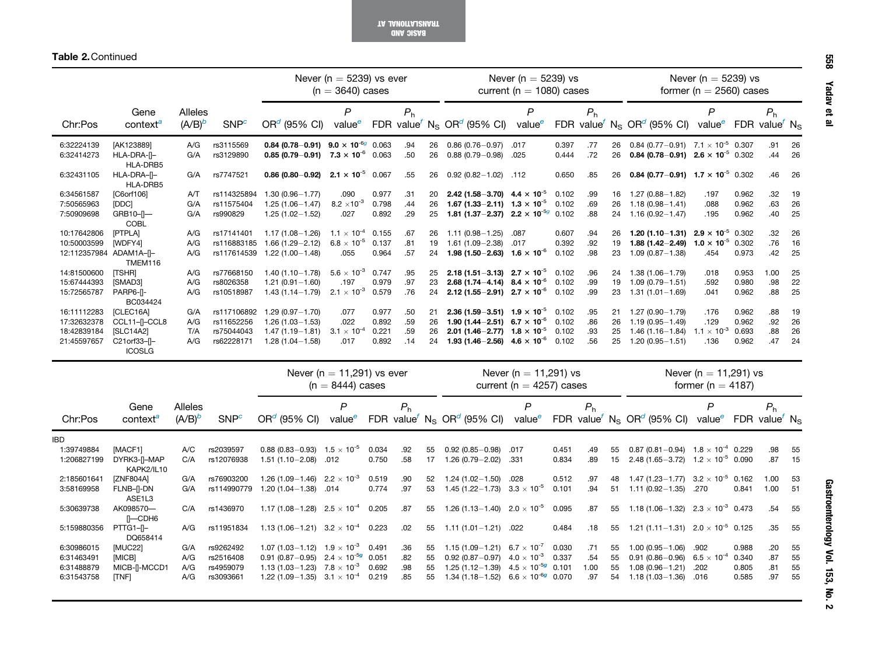BASIC AND<br>IAMOITA I*P* TRANSLATIONAL AT

Table 2.Continued

|                          |                                       |                             |                        | Never ( $n = 5239$ ) vs ever<br>$(n = 3640)$ cases                           |                                                      |       | Never ( $n = 5239$ ) vs<br>current ( $n = 1080$ ) cases |  |                                                                                   |                                                           |                | Never ( $n = 5239$ ) vs<br>former ( $n = 2560$ ) cases |          |                                                                                                     |                                                |                                                             |                |          |
|--------------------------|---------------------------------------|-----------------------------|------------------------|------------------------------------------------------------------------------|------------------------------------------------------|-------|---------------------------------------------------------|--|-----------------------------------------------------------------------------------|-----------------------------------------------------------|----------------|--------------------------------------------------------|----------|-----------------------------------------------------------------------------------------------------|------------------------------------------------|-------------------------------------------------------------|----------------|----------|
| Chr:Pos                  | Gene<br>context <sup>a</sup>          | <b>Alleles</b><br>$(A/B)^b$ | SNP <sup>c</sup>       | $ORd$ (95% CI)                                                               | P<br>value <sup>e</sup>                              |       | P <sub>h</sub>                                          |  | FDR value <sup><math>f</math></sup> N <sub>S</sub> OR <sup>d</sup> (95% CI)       | $\mathsf{P}$<br>value <sup>e</sup>                        |                | P <sub>h</sub>                                         |          | FDR value <sup>f</sup> N <sub>S</sub> OR <sup>d</sup> (95% CI) value <sup>e</sup>                   | P                                              | FDR value <sup><math>\prime</math></sup> N <sub>S</sub>     | P <sub>h</sub> |          |
| 6:32224139<br>6:32414273 | [AK123889]<br>HLA-DRA-II-<br>HLA-DRB5 | A/G<br>G/A                  | rs3115569<br>rs3129890 | 0.84 (0.78-0.91) 9.0 $\times$ 10 <sup>-6g</sup> 0.063<br>$0.85(0.79 - 0.91)$ | $7.3 \times 10^{-6}$ 0.063                           |       | .94<br>26<br>.50<br>26                                  |  | $0.86(0.76 - 0.97)$<br>$0.88(0.79 - 0.98)$                                        | .017<br>.025                                              | 0.397<br>0.444 | .77<br>.72                                             | 26<br>26 | 0.84 (0.77-0.91) $7.1 \times 10^{-5}$ 0.307<br>0.84 (0.78-0.91) 2.6 $\times$ 10 <sup>-5</sup> 0.302 |                                                |                                                             | .91<br>.44     | 26<br>26 |
| 6:32431105               | HLA-DRA-II-<br>HLA-DRB5               | G/A                         | rs7747521              | $0.86(0.80 - 0.92)$                                                          | $2.1 \times 10^{-5}$ 0.067                           |       | .55<br>26                                               |  | $0.92(0.82 - 1.02)$ .112                                                          |                                                           | 0.650          | .85                                                    |          | 26 0.84 (0.77-0.91) $1.7 \times 10^{-5}$ 0.302                                                      |                                                |                                                             | .46            | 26       |
| 6:34561587               | [C6orf106]                            | AT                          | rs114325894            | $1.30(0.96 - 1.77)$                                                          | .090                                                 | 0.977 | .31<br>20                                               |  | 2.42 (1.58–3.70) $4.4 \times 10^{-5}$                                             |                                                           | 0.102          | .99                                                    |          | 16 1.27 (0.88-1.82)                                                                                 | .197                                           | 0.962                                                       | .32            | 19       |
| 7:50565963               | [DDC]                                 | G/A                         | rs11575404             | $1.25(1.06 - 1.47)$                                                          | $8.2 \times 10^{-3}$                                 | 0.798 | .44<br>26                                               |  | 1.67 (1.33-2.11) $1.3 \times 10^{-5}$ 0.102                                       |                                                           |                | .69                                                    | 26       | $1.18(0.98 - 1.41)$                                                                                 | .088                                           | 0.962                                                       | .63            | 26       |
| 7:50909698               | GRB10-[-<br>COBL                      | G/A                         | rs990829               | $1.25(1.02 - 1.52)$                                                          | .027                                                 | 0.892 | .29<br>25                                               |  | 1.81 (1.37 - 2.37) 2.2 $\times$ 10 <sup>-5g</sup> 0.102                           |                                                           |                | .88                                                    |          | 24 1.16 (0.92-1.47)                                                                                 | .195                                           | 0.962                                                       | .40            | 25       |
| 10:17642806              | [PTPLA]                               | A/G                         | rs17141401             | $1.17(1.08 - 1.26)$                                                          | $1.1 \times 10^{-4}$ 0.155                           |       | .67<br>26                                               |  | $1.11(0.98 - 1.25)$                                                               | .087                                                      | 0.607          | .94                                                    | 26       | $1.20(1.10 - 1.31)$                                                                                 | $2.9 \times 10^{-5}$ 0.302                     |                                                             | .32            | 26       |
| 10:50003599              | [WDFY4]                               | A/G                         | rs116883185            | $1.66(1.29 - 2.12)$                                                          | $6.8 \times 10^{-5}$ 0.137                           |       | .81<br>19                                               |  | $1.61(1.09 - 2.38)$                                                               | .017                                                      | 0.392          | .92                                                    | 19       | $1.88(1.42 - 2.49)$                                                                                 | $1.0 \times 10^{-5}$ 0.302                     |                                                             | .76            | 16       |
| 12:112357984 ADAM1A-[]-  | TMEM116                               | A/G                         | rs117614539            | $1.22(1.00 - 1.48)$                                                          | .055                                                 | 0.964 | .57<br>24                                               |  | 1.98 (1.50 - 2.63) 1.6 $\times$ 10 <sup>-6</sup>                                  |                                                           | 0.102          | .98                                                    | 23       | $1.09(0.87 - 1.38)$                                                                                 | .454                                           | 0.973                                                       | .42            | 25       |
| 14:81500600              | <b>ITSHRI</b>                         | A/G                         | rs77668150             | $1.40(1.10 - 1.78)$                                                          | $5.6 \times 10^{-3}$ 0.747                           |       | .95<br>25                                               |  | 2.18 (1.51 - 3.13) $2.7 \times 10^{-5}$ 0.102                                     |                                                           |                | .96                                                    | 24       | 1.38 (1.06-1.79)                                                                                    | .018                                           | 0.953                                                       | 1.00           | 25       |
| 15:67444393              | [SMAD3]                               | A/G                         | rs8026358              | $1.21(0.91 - 1.60)$                                                          | .197                                                 | 0.979 | .97<br>23                                               |  | 2.68 (1.74 - 4.14) 8.4 $\times$ 10 <sup>-6</sup>                                  |                                                           | 0.102          | .99                                                    | 19       | $1.09(0.79 - 1.51)$                                                                                 | .592                                           | 0.980                                                       | .98            | 22       |
| 15:72565787              | PARP6-I-<br>BC034424                  | A/G                         | rs10518987             | $1.43(1.14 - 1.79)$                                                          | $2.1 \times 10^{-3}$                                 | 0.579 | .76<br>24                                               |  | 2.12 (1.55-2.91) 2.7 $\times$ 10 <sup>-6</sup> 0.102                              |                                                           |                | .99                                                    | 23       | $1.31(1.01 - 1.69)$                                                                                 | .041                                           | 0.962                                                       | .88            | 25       |
| 16:11112283              | [CLEC16A]                             | G/A                         | rs117106892            | $1.29(0.97 - 1.70)$                                                          | .077                                                 | 0.977 | .50<br>21                                               |  | 2.36 (1.59 - 3.51) $1.9 \times 10^{-5}$                                           |                                                           | 0.102          | .95                                                    | 21       | 1.27 (0.90 - 1.79)                                                                                  | .176                                           | 0.962                                                       | .88            | 19       |
| 17:32632378              | CCL11-I-CCL8                          | A/G                         | rs11652256             | $1.26(1.03 - 1.53)$                                                          | .022                                                 | 0.892 | .59<br>26                                               |  | 1.90 (1.44 - 2.51) 6.7 $\times$ 10 <sup>-6</sup>                                  |                                                           | 0.102          | .86                                                    | 26       | 1.19 (0.95 - 1.49)                                                                                  | .129                                           | 0.962                                                       | .92            | 26       |
| 18:42839184              | [SLC14A2]                             | T/A                         | rs75044043             | $1.47(1.19 - 1.81)$                                                          | $3.1 \times 10^{-4}$                                 | 0.221 | .59<br>26                                               |  | 2.01 (1.46–2.77) $1.8 \times 10^{-5}$                                             |                                                           | 0.102          | .93                                                    | 25       | $1.46(1.16 - 1.84)$                                                                                 | $1.1 \times 10^{-3}$                           | 0.693                                                       | .88            | 26       |
| 21:45597657              | C21orf33-Il-<br><b>ICOSLG</b>         | A/G                         | rs62228171             | $1.28(1.04 - 1.58)$                                                          | .017                                                 | 0.892 | .14<br>24                                               |  | 1.93 (1.46-2.56) $4.6 \times 10^{-6}$ 0.102                                       |                                                           |                | .56                                                    | 25       | $1.20(0.95 - 1.51)$                                                                                 | .136                                           | 0.962                                                       | .47            | 24       |
|                          |                                       |                             |                        |                                                                              | Never ( $n = 11,291$ ) vs ever<br>$(n = 8444)$ cases |       |                                                         |  |                                                                                   | Never ( $n = 11,291$ ) vs<br>current ( $n = 4257$ ) cases |                |                                                        |          |                                                                                                     | Never ( $n = 11,291$ ) vs<br>former (n = 4187) |                                                             |                |          |
| Chr:Pos                  | Gene<br>context <sup>a</sup>          | Alleles<br>$(A/B)^b$        | SNP <sup>c</sup>       | $ORd$ (95% CI)                                                               | P<br>value <sup>e</sup>                              |       | P <sub>h</sub>                                          |  | FDR value <sup>f</sup> N <sub>S</sub> OR <sup>d</sup> (95% CI) value <sup>e</sup> | P                                                         |                | P <sub>h</sub>                                         |          | FDR value <sup>f</sup> N <sub>S</sub> OR <sup>d</sup> (95% CI) value <sup>e</sup>                   | P                                              | FDR value <sup><math>\mathsf{r}</math></sup> N <sub>S</sub> | P <sub>h</sub> |          |

| סט והוויט   | <b>UUIILGAL</b>            | $\overline{U}$ | וויוט         | UIT (3070 UI) VAIUC TUIT VAIUC INS UIT (3070 UI) VAIUC TUIT VAIUC INS UIT (3070 UI) VAIUC TUIT VAIUC INS |       |     |    |                                                                                                            |       |      |    |                                                  |       |         |      |
|-------------|----------------------------|----------------|---------------|----------------------------------------------------------------------------------------------------------|-------|-----|----|------------------------------------------------------------------------------------------------------------|-------|------|----|--------------------------------------------------|-------|---------|------|
| IBD         |                            |                |               |                                                                                                          |       |     |    |                                                                                                            |       |      |    |                                                  |       |         |      |
| 1:39749884  | <b>IMACF11</b>             | A/C            | rs2039597     | 0.88 (0.83 - 0.93) $1.5 \times 10^{-5}$                                                                  | 0.034 | .92 | 55 | $0.92(0.85 - 0.98)$ .017                                                                                   | 0.451 | .49  |    | 55 0.87 (0.81 - 0.94) $1.8 \times 10^{-4}$ 0.229 |       | .98 55  |      |
| 1:206827199 | DYRK3-II-MAP<br>KAPK2/IL10 | C/A            | rs12076938    | $1.51(1.10-2.08)$ .012                                                                                   | 0.750 | .58 | 17 | 1.26 (0.79 - 2.02) .331                                                                                    | 0.834 | .89  |    | 15 2.48 (1.65-3.72) $1.2 \times 10^{-5}$ 0.090   |       | .87 15  |      |
| 2:185601641 | [ZNF804A]                  | G/A            | rs76903200    | 1.26 (1.09 - 1.46) $2.2 \times 10^{-3}$                                                                  | 0.519 | .90 | 52 | $1.24(1.02 - 1.50)$ .028                                                                                   | 0.512 | .97  |    | 48 1.47 (1.23–1.77) $3.2 \times 10^{-5}$ 0.162   |       | 1.00 53 |      |
| 3:58169958  | FLNB-II-DN<br>ASE1L3       | G/A            | rs114990779   | $1.20(1.04 - 1.38)$ .014                                                                                 | 0.774 | .97 |    | 53 1.45 (1.22 - 1.73) $3.3 \times 10^{-5}$                                                                 | 0.101 | .94  |    | 51  1.11 (0.92 - 1.35)  .270                     | 0.841 | 1.00    | 51   |
| 5:30639738  | AK098570-<br>∏—СDН6        |                | C/A rs1436970 | 1.17 (1.08-1.28) $2.5 \times 10^{-4}$ 0.205 .87                                                          |       |     |    | 55 $1.26$ (1.13-1.40) $2.0 \times 10^{-5}$ $0.095$ $87$ $55$ $1.18$ (1.06-1.32) $2.3 \times 10^{-3}$ 0.473 |       |      |    |                                                  |       | .54 55  |      |
| 5:159880356 | PTTG1-II-<br>DQ658414      | A/G            | rs11951834    | 1.13 (1.06-1.21) $3.2 \times 10^{-4}$ 0.223                                                              |       | .02 | 55 | $1.11(1.01 - 1.21)$ .022                                                                                   | 0.484 | .18  |    | 55 1.21 (1.11–1.31) $2.0 \times 10^{-5}$ 0.125   |       | .35 55  |      |
| 6:30986015  | [MUC22]                    | G/A            | rs9262492     | 1.07 (1.03-1.12) $1.9 \times 10^{-3}$ 0.491                                                              |       | .36 | 55 | 1.15 (1.09-1.21) $6.7 \times 10^{-7}$ 0.030                                                                |       | .71  | 55 | $1.00(0.95 - 1.06)$ .902                         | 0.988 | .20     | - 55 |
| 6:31463491  | [MICB]                     | A/G            | rs2516408     | $0.91(0.87-0.95)$ $2.4 \times 10^{-5}$ 0.051                                                             |       | .82 | 55 | 0.92 (0.87 $-0.97$ ) 4.0 $\times$ 10 <sup>-3</sup> 0.337                                                   |       | .54  |    | 55 0.91 (0.86-0.96) $6.5 \times 10^{-4}$ 0.340   |       | .87     | -55  |
| 6:31488879  | MICB-[I-MCCD1              | A/G            | rs4959079     | 1.13 (1.03-1.23) $7.8 \times 10^{-3}$ 0.692                                                              |       | .98 |    | 55 1.25 (1.12-1.39) $4.5 \times 10^{-5}$ 0.101                                                             |       | 1.00 |    | 55    1.08    (0.96 - 1.21)    .202              | 0.805 | .81     | -55  |
| 6:31543758  | [TNF]                      | A/G            | rs3093661     | 1.22 (1.09-1.35) $3.1 \times 10^{-4}$ 0.219                                                              |       | .85 |    | 55 1.34 (1.18–1.52) 6.6 $\times$ 10 <sup>-6g</sup> 0.070                                                   |       | .97  |    | 54 1.18 (1.03 - 1.36) .016                       | 0.585 | .97     | - 55 |
|             |                            |                |               |                                                                                                          |       |     |    |                                                                                                            |       |      |    |                                                  |       |         |      |

558Yadav et al Yadav et al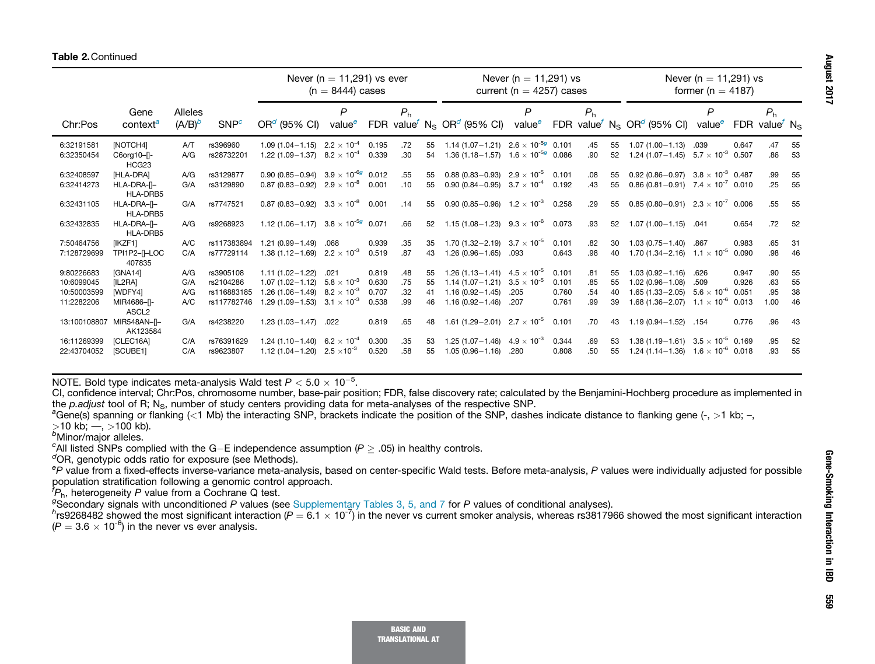|              |                                  |                |                  | Never ( $n = 11,291$ ) vs ever<br>$(n = 8444)$ cases |                    |       | Never ( $n = 11,291$ ) vs<br>current ( $n = 4257$ ) cases |    |                                                                |                    |       | Never ( $n = 11,291$ ) vs<br>former (n = 4187) |    |                                                                |                            |       |                                                         |      |
|--------------|----------------------------------|----------------|------------------|------------------------------------------------------|--------------------|-------|-----------------------------------------------------------|----|----------------------------------------------------------------|--------------------|-------|------------------------------------------------|----|----------------------------------------------------------------|----------------------------|-------|---------------------------------------------------------|------|
|              | Gene                             | <b>Alleles</b> |                  |                                                      | $\mathsf{P}$       |       | P <sub>h</sub>                                            |    |                                                                | P                  |       | P <sub>h</sub>                                 |    |                                                                | P                          |       | P <sub>h</sub>                                          |      |
| Chr:Pos      | context <sup>a</sup>             | $(A/B)^b$      | SNP <sup>c</sup> | $ORd$ (95% CI)                                       | value <sup>e</sup> |       |                                                           |    | FDR value <sup>f</sup> N <sub>S</sub> OR <sup>d</sup> (95% CI) | value <sup>e</sup> |       |                                                |    | FDR value <sup>f</sup> N <sub>S</sub> OR <sup>d</sup> (95% CI) | valuee                     |       | FDR value <sup><math>\prime</math></sup> N <sub>S</sub> |      |
| 6:32191581   | [NOTCH4]                         | AT             | rs396960         | 1.09 (1.04 - 1.15) $2.2 \times 10^{-4}$              |                    | 0.195 | .72                                                       | 55 | 1.14 (1.07-1.21) $2.6 \times 10^{-5}$ 0.101                    |                    |       | .45                                            | 55 | $1.07(1.00 - 1.13)$                                            | .039                       | 0.647 | .47                                                     | 55   |
| 6:32350454   | C6org10-I-<br>HCG <sub>23</sub>  | A/G            | rs28732201       | 1.22 (1.09 - 1.37) $8.2 \times 10^{-4}$              |                    | 0.339 | .30                                                       | 54 | 1.36 (1.18–1.57) $1.6 \times 10^{-5}$ 0.086                    |                    |       | .90                                            | 52 | $1.24(1.07 - 1.45)$                                            | $5.7 \times 10^{-3}$ 0.507 |       | .86                                                     | 53   |
| 6:32408597   | <b>IHLA-DRAI</b>                 | A/G            | rs3129877        | 0.90 (0.85-0.94) $3.9 \times 10^{-6}$ 0.012          |                    |       | .55                                                       | 55 | 0.88 (0.83 - 0.93) $2.9 \times 10^{-5}$                        |                    | 0.101 | .08                                            | 55 | 0.92 (0.86 - 0.97) 3.8 $\times$ 10 <sup>-3</sup> 0.487         |                            |       | .99                                                     | 55   |
| 6:32414273   | HLA-DRA-II-<br>HLA-DRB5          | G/A            | rs3129890        | 0.87 (0.83-0.92) $2.9 \times 10^{-8}$                |                    | 0.001 | .10                                                       | 55 | 0.90 (0.84 - 0.95) $3.7 \times 10^{-4}$                        |                    | 0.192 | .43                                            | 55 | 0.86 (0.81-0.91) $7.4 \times 10^{-7}$ 0.010                    |                            |       | .25                                                     | 55   |
| 6:32431105   | HLA-DRA-II-<br>HLA-DRB5          | G/A            | rs7747521        | 0.87 (0.83-0.92) $3.3 \times 10^{-8}$                |                    | 0.001 | .14                                                       | 55 | 0.90 (0.85 - 0.96) $1.2 \times 10^{-3}$                        |                    | 0.258 | .29                                            | 55 | $0.85(0.80-0.91)$ $2.3 \times 10^{-7}$ 0.006                   |                            |       | .55                                                     | 55   |
| 6:32432835   | HLA-DRA-II-<br>HLA-DRB5          | A/G            | rs9268923        | 1.12 (1.06-1.17) $3.8 \times 10^{-5}$ 0.071          |                    |       | .66                                                       | 52 | 1.15 (1.08 - 1.23) $9.3 \times 10^{-6}$                        |                    | 0.073 | .93                                            | 52 | $1.07(1.00 - 1.15)$                                            | .041                       | 0.654 | .72                                                     | 52   |
| 7:50464756   | [IKZF1]                          | A/C            | rs117383894      | $1.21(0.99 - 1.49)$                                  | .068               | 0.939 | .35                                                       | 35 | 1.70 (1.32 - 2.19) $3.7 \times 10^{-5}$                        |                    | 0.101 | .82                                            | 30 | $1.03(0.75 - 1.40)$                                            | .867                       | 0.983 | .65                                                     | 31   |
| 7:128729699  | TPI1P2-II-LOC<br>407835          | C/A            | rs77729114       | 1.38 (1.12-1.69) $2.2 \times 10^{-3}$                |                    | 0.519 | .87                                                       | 43 | $1.26(0.96 - 1.65)$                                            | .093               | 0.643 | .98                                            | 40 | 1.70 (1.34 - 2.16) $1.1 \times 10^{-5}$                        |                            | 0.090 | .98                                                     | 46   |
| 9:80226683   | [GNA14]                          | A/G            | rs3905108        | $1.11(1.02 - 1.22)$                                  | .021               | 0.819 | .48                                                       | 55 | 1.26 (1.13 – 1.41) $4.5 \times 10^{-5}$                        |                    | 0.101 | .81                                            | 55 | $1.03(0.92 - 1.16)$                                            | .626                       | 0.947 | .90                                                     | 55   |
| 10:6099045   | [IL2RA]                          | G/A            | rs2104286        | $1.07(1.02 - 1.12)$                                  | $5.8\times10^{-3}$ | 0.630 | .75                                                       | 55 | 1.14 (1.07 - 1.21) $3.5 \times 10^{-5}$                        |                    | 0.101 | .85                                            | 55 | $1.02(0.96 - 1.08)$                                            | .509                       | 0.926 | .63                                                     | 55   |
| 10:50003599  | [WDFY4]                          | A/G            | rs116883185      | 1.26 (1.06-1.49) 8.2 $\times$ 10 <sup>-3</sup>       |                    | 0.707 | .32                                                       | 41 | $1.16(0.92 - 1.45)$                                            | .205               | 0.760 | .54                                            | 40 | $1.65(1.33 - 2.05)$                                            | $5.6 \times 10^{-6}$ 0.051 |       | .95                                                     | 38   |
| 11:2282206   | MIR4686-II-<br>ASCL <sub>2</sub> | A/C            | rs117782746      | 1.29 (1.09-1.53) $3.1 \times 10^{-3}$                |                    | 0.538 | .99                                                       | 46 | $1.16(0.92 - 1.46)$                                            | .207               | 0.761 | .99                                            | 39 | 1.68 (1.36 - 2.07) $1.1 \times 10^{-6}$ 0.013                  |                            |       | 1.00                                                    | 46   |
| 13:100108807 | MIR548AN-[]-<br>AK123584         | G/A            | rs4238220        | $1.23(1.03 - 1.47)$                                  | .022               | 0.819 | .65                                                       | 48 | 1.61 (1.29 - 2.01) $2.7 \times 10^{-5}$                        |                    | 0.101 | .70                                            | 43 | $1.19(0.94 - 1.52)$ .154                                       |                            | 0.776 | .96                                                     | - 43 |
| 16:11269399  | <b>ICLEC16AI</b>                 | C/A            | rs76391629       | 1.24 (1.10 - 1.40) 6.2 $\times$ 10 <sup>-4</sup>     |                    | 0.300 | .35                                                       | 53 | 1.25 (1.07-1.46) $4.9 \times 10^{-3}$                          |                    | 0.344 | .69                                            | 53 | 1.38 (1.19 – 1.61) $3.5 \times 10^{-5}$ 0.169                  |                            |       | .95                                                     | 52   |
| 22:43704052  | [SCUBE1]                         | C/A            | rs9623807        | 1.12 (1.04 - 1.20) $2.5 \times 10^{-3}$              |                    | 0.520 | .58                                                       | 55 | $1.05(0.96 - 1.16)$                                            | .280               | 0.808 | .50                                            | 55 | 1.24 (1.14 - 1.36) $1.6 \times 10^{-6}$ 0.018                  |                            |       | .93                                                     | 55   |

NOTE. Bold type indicates meta-analysis Wald test  $P < 5.0 \times 10^{-5}$ .

CI, confidence interval; Chr:Pos, chromosome number, base-pair position; FDR, false discovery rate; calculated by the Benjamini-Hochberg procedure as implemented in the p.adjust tool of R; N<sub>S</sub>, number of study centers providing data for meta-analyses of the respective SNP.

<sup>a</sup>Gene(s) spanning or flanking (<1 Mb) the interacting SNP, brackets indicate the position of the SNP, dashes indicate distance to flanking gene (-, >1 kb; -,

 $>10$  kb;  $-$ ,  $>100$  kb).

<sup>b</sup>Minor/major alleles.

<sup>c</sup>All listed SNPs complied with the G-E independence assumption ( $P > .05$ ) in healthy controls.

 $\sigma$ OR, genotypic odds ratio for exposure (see Methods).

eP value from a fixed-effects inverse-variance meta-analysis, based on center-specific Wald tests. Before meta-analysis, P values were individually adjusted for possible population stratification following a genomic control approach.

 ${}^{\dagger}P_{h}$ , heterogeneity P value from a Cochrane Q test.

gSecondary signals with unconditioned P values (see Supplementary Tables 3, 5, and 7 for P values of conditional analyses).

 $^h$ rs9268482 showed the most significant interaction (P =  $6.1 \times 10^{-7})$  in the never vs current smoker analysis, whereas rs3817966 showed the most significant interaction  $(P = 3.6 \times 10^{-6})$  in the never vs ever analysis.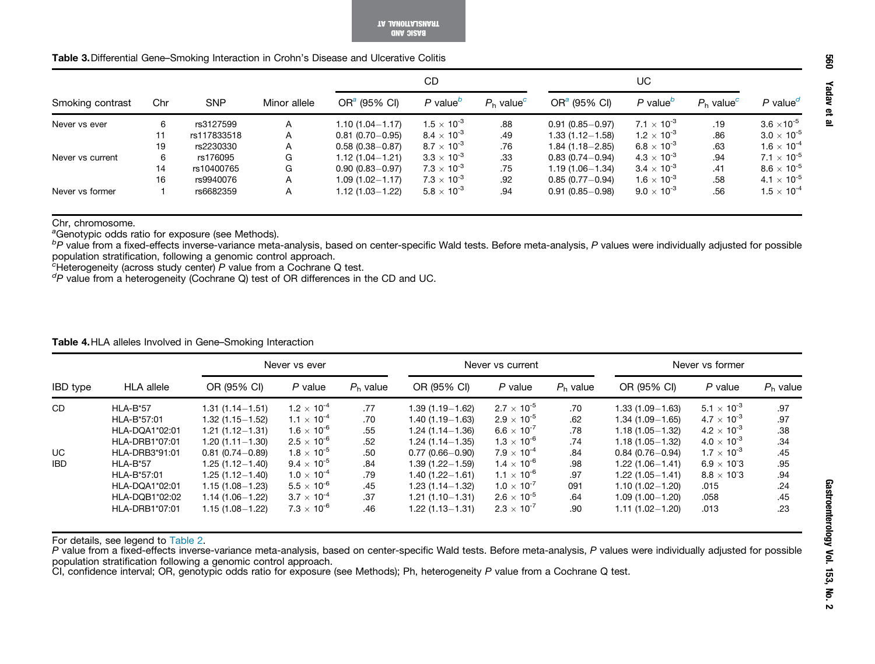BASIC AND TRANSLATIONAL AT

| <b>Table 3.</b> Differential Gene–Smoking Interaction in Crohn's Disease and Ulcerative Colitis |  |
|-------------------------------------------------------------------------------------------------|--|
|-------------------------------------------------------------------------------------------------|--|

|                  |     |             |              |                     | CD                                  |                          |                     | UC                                  |                          |                      |
|------------------|-----|-------------|--------------|---------------------|-------------------------------------|--------------------------|---------------------|-------------------------------------|--------------------------|----------------------|
| Smoking contrast | Chr | <b>SNP</b>  | Minor allele | $ORa$ (95% CI)      | $P$ value <sup><math>D</math></sup> | $P_h$ value <sup>c</sup> | $ORa$ (95% CI)      | $P$ value <sup><math>D</math></sup> | $P_h$ value <sup>c</sup> | P value <sup>d</sup> |
| Never vs ever    | 6   | rs3127599   | A            | 1.10 (1.04-1.17)    | $1.5 \times 10^{-3}$                | .88                      | $0.91(0.85 - 0.97)$ | $7.1 \times 10^{-3}$                | .19                      | $3.6 \times 10^{-5}$ |
|                  | 11  | rs117833518 | A            | $0.81(0.70 - 0.95)$ | $8.4 \times 10^{-3}$                | .49                      | $1.33(1.12 - 1.58)$ | $1.2 \times 10^{-3}$                | .86                      | $3.0 \times 10^{-5}$ |
|                  | 19  | rs2230330   | A            | $0.58(0.38 - 0.87)$ | $8.7 \times 10^{-3}$                | .76                      | $1.84(1.18 - 2.85)$ | 6.8 $\times$ 10 <sup>-3</sup>       | .63                      | $1.6 \times 10^{-4}$ |
| Never vs current | 6   | rs176095    | G            | $1.12(1.04 - 1.21)$ | $3.3\times10^{-3}$                  | .33                      | $0.83(0.74 - 0.94)$ | $4.3 \times 10^{-3}$                | .94                      | $7.1 \times 10^{-5}$ |
|                  | 14  | rs10400765  | G            | $0.90(0.83 - 0.97)$ | $7.3 \times 10^{-3}$                | .75                      | $1.19(1.06 - 1.34)$ | $3.4 \times 10^{-3}$                | .41                      | $8.6 \times 10^{-5}$ |
|                  | 16  | rs9940076   | A            | 1.09 (1.02-1.17)    | $7.3 \times 10^{-3}$                | .92                      | $0.85(0.77 - 0.94)$ | $1.6 \times 10^{-3}$                | .58                      | $4.1 \times 10^{-5}$ |
| Never vs former  |     | rs6682359   | A            | 1.12 (1.03-1.22)    | $5.8 \times 10^{-3}$                | .94                      | $0.91(0.85 - 0.98)$ | $9.0 \times 10^{-3}$                | .56                      | $1.5 \times 10^{-4}$ |

Chr, chromosome.

<sup>a</sup>Genotypic odds ratio for exposure (see Methods).

bP value from a fixed-effects inverse-variance meta-analysis, based on center-specific Wald tests. Before meta-analysis, P values were individually adjusted for possible population stratification, following a genomic control approach.

 $c$ Heterogeneity (across study center) P value from a Cochrane Q test.

 ${}^{d}P$  value from a heterogeneity (Cochrane Q) test of OR differences in the CD and UC.

## Table 4.HLA alleles Involved in Gene–Smoking Interaction

|                 |                   |                     | Never vs ever                 |            |                     | Never vs current     |            |                     | Never vs former      |            |
|-----------------|-------------------|---------------------|-------------------------------|------------|---------------------|----------------------|------------|---------------------|----------------------|------------|
| <b>IBD</b> type | <b>HLA</b> allele | OR (95% CI)         | $P$ value                     | $Ph$ value | OR (95% CI)         | P value              | $Ph$ value | OR (95% CI)         | P value              | $Ph$ value |
| <b>CD</b>       | HLA-B*57          | $1.31(1.14 - 1.51)$ | $1.2 \times 10^{-4}$          | .77        | $1.39(1.19 - 1.62)$ | $2.7 \times 10^{-5}$ | .70        | $1.33(1.09 - 1.63)$ | $5.1 \times 10^{-3}$ | .97        |
|                 | HLA-B*57:01       | $1.32(1.15 - 1.52)$ | $1.1 \times 10^{-4}$          | .70        | 1.40 (1.19 – 1.63)  | $2.9 \times 10^{-5}$ | .62        | $1.34(1.09 - 1.65)$ | $4.7 \times 10^{-3}$ | .97        |
|                 | HLA-DQA1*02:01    | $1.21(1.12 - 1.31)$ | 1.6 $\times$ 10 <sup>-6</sup> | .55        | $1.24(1.14 - 1.36)$ | $6.6 \times 10^{-7}$ | .78        | $1.18(1.05 - 1.32)$ | $4.2 \times 10^{-3}$ | .38        |
|                 | HLA-DRB1*07:01    | $1.20(1.11 - 1.30)$ | $2.5 \times 10^{-6}$          | .52        | $1.24(1.14 - 1.35)$ | $1.3 \times 10^{-6}$ | .74        | $1.18(1.05 - 1.32)$ | $4.0 \times 10^{-3}$ | .34        |
| UC.             | HLA-DRB3*91:01    | $0.81(0.74 - 0.89)$ | $1.8 \times 10^{-5}$          | .50        | $0.77(0.66 - 0.90)$ | $7.9 \times 10^{-4}$ | .84        | $0.84(0.76 - 0.94)$ | $1.7 \times 10^{-3}$ | .45        |
| IBD             | $HLA-B*57$        | $1.25(1.12 - 1.40)$ | $9.4 \times 10^{-5}$          | .84        | $1.39(1.22 - 1.59)$ | $1.4 \times 10^{-6}$ | .98        | $1.22(1.06 - 1.41)$ | $6.9 \times 10^{-3}$ | .95        |
|                 | HLA-B*57:01       | $1.25(1.12 - 1.40)$ | $1.0 \times 10^{-4}$          | .79        | $1.40(1.22 - 1.61)$ | $1.1 \times 10^{-6}$ | .97        | $1.22(1.05 - 1.41)$ | $8.8 \times 10^{-3}$ | .94        |
|                 | HLA-DQA1*02:01    | $1.15(1.08 - 1.23)$ | $5.5 \times 10^{-6}$          | .45        | $1.23(1.14 - 1.32)$ | $1.0 \times 10^{-7}$ | 091        | $1.10(1.02 - 1.20)$ | .015                 | .24        |
|                 | HLA-DQB1*02:02    | $1.14(1.06 - 1.22)$ | $3.7 \times 10^{-4}$          | .37        | $1.21(1.10 - 1.31)$ | $2.6 \times 10^{-5}$ | .64        | $1.09(1.00 - 1.20)$ | .058                 | .45        |
|                 | HLA-DRB1*07:01    | $1.15(1.08 - 1.22)$ | $7.3 \times 10^{-6}$          | .46        | 1.22 (1.13 – 1.31)  | $2.3 \times 10^{-7}$ | .90        | $1.11(1.02 - 1.20)$ | .013                 | .23        |

For details, see legend to Table 2.<br>*P* value from a fixed-effects inverse-variance meta-analysis, based on center-specific Wald tests. Before meta-analysis, *P* values were individually adjusted for possible population stratification following a genomic control approach.

CI, confidence interval; OR, genotypic odds ratio for exposure (see Methods); Ph, heterogeneity P value from a Cochrane Q test.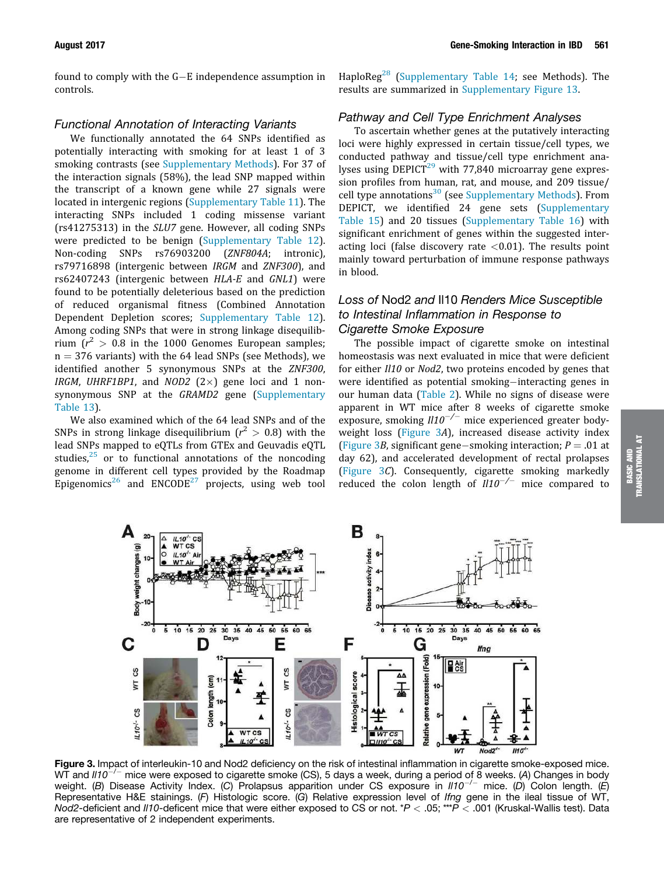found to comply with the  $G-E$  independence assumption in controls.

## Functional Annotation of Interacting Variants

We functionally annotated the 64 SNPs identified as potentially interacting with smoking for at least 1 of 3 smoking contrasts (see Supplementary Methods). For 37 of the interaction signals (58%), the lead SNP mapped within the transcript of a known gene while 27 signals were located in intergenic regions (Supplementary Table 11). The interacting SNPs included 1 coding missense variant (rs41275313) in the SLU7 gene. However, all coding SNPs were predicted to be benign (Supplementary Table 12). Non-coding SNPs rs76903200 (ZNF804A; intronic), rs79716898 (intergenic between IRGM and ZNF300), and rs62407243 (intergenic between HLA-E and GNL1) were found to be potentially deleterious based on the prediction of reduced organismal fitness (Combined Annotation Dependent Depletion scores; Supplementary Table 12). Among coding SNPs that were in strong linkage disequilibrium  $(r^2 > 0.8$  in the 1000 Genomes European samples;  $n = 376$  variants) with the 64 lead SNPs (see Methods), we identified another 5 synonymous SNPs at the ZNF300, IRGM, UHRF1BP1, and NOD2  $(2\times)$  gene loci and 1 nonsynonymous SNP at the GRAMD2 gene (Supplementary Table 13).

We also examined which of the 64 lead SNPs and of the SNPs in strong linkage disequilibrium  $(r^2 > 0.8)$  with the lead SNPs mapped to eQTLs from GTEx and Geuvadis eQTL studies, $25$  or to functional annotations of the noncoding genome in different cell types provided by the Roadmap Epigenomics<sup>26</sup> and ENCODE<sup>27</sup> projects, using web tool HaploReg<sup>28</sup> (Supplementary Table 14; see Methods). The results are summarized in Supplementary Figure 13.

## Pathway and Cell Type Enrichment Analyses

To ascertain whether genes at the putatively interacting loci were highly expressed in certain tissue/cell types, we conducted pathway and tissue/cell type enrichment analyses using  $DEPICT<sup>29</sup>$  with 77,840 microarray gene expression profiles from human, rat, and mouse, and 209 tissue/ cell type annotations<sup>30</sup> (see Supplementary Methods). From DEPICT, we identified 24 gene sets (Supplementary Table 15) and 20 tissues (Supplementary Table 16) with significant enrichment of genes within the suggested interacting loci (false discovery rate  $<$  0.01). The results point mainly toward perturbation of immune response pathways in blood.

# Loss of Nod2 and Il10 Renders Mice Susceptible to Intestinal Inflammation in Response to Cigarette Smoke Exposure

The possible impact of cigarette smoke on intestinal homeostasis was next evaluated in mice that were deficient for either II10 or Nod2, two proteins encoded by genes that were identified as potential smoking-interacting genes in our human data (Table 2). While no signs of disease were apparent in WT mice after 8 weeks of cigarette smoke exposure, smoking  $III0^{-/-}$  mice experienced greater bodyweight loss (Figure 3A), increased disease activity index (Figure 3*B*, significant gene-smoking interaction;  $P = .01$  at day 62), and accelerated development of rectal prolapses (Figure 3C). Consequently, cigarette smoking markedly reduced the colon length of  $III0^{-/-}$  mice compared to





Figure 3. Impact of interleukin-10 and Nod2 deficiency on the risk of intestinal inflammation in cigarette smoke-exposed mice. WT and  $III0^{-/-}$  mice were exposed to cigarette smoke (CS), 5 days a week, during a period of 8 weeks. (A) Changes in body weight. (B) Disease Activity Index. (C) Prolapsus apparition under CS exposure in  $II10^{-/-}$  mice. (D) Colon length. (E) Representative H&E stainings. (F) Histologic score. (G) Relative expression level of Ifng gene in the ileal tissue of WT, Nod2-deficient and II10-deficent mice that were either exposed to CS or not. \* $P < .05$ ; \*\*\* $P < .001$  (Kruskal-Wallis test). Data are representative of 2 independent experiments.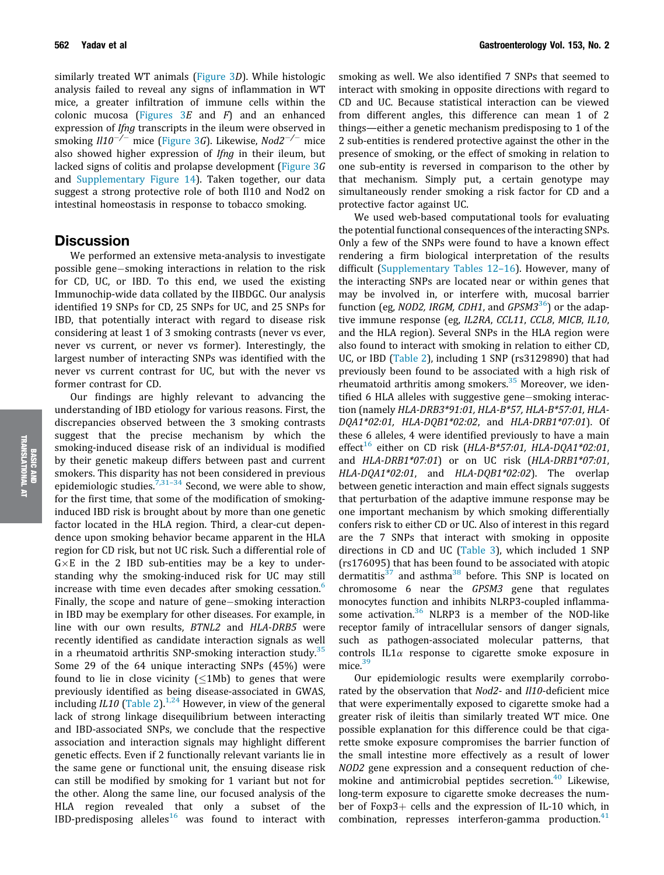similarly treated WT animals (Figure 3D). While histologic analysis failed to reveal any signs of inflammation in WT mice, a greater infiltration of immune cells within the colonic mucosa (Figures  $3E$  and  $F$ ) and an enhanced expression of *Ifng* transcripts in the ileum were observed in smoking  $II10^{-/-}$  mice (Figure 3G). Likewise, Nod2<sup>-/-</sup> mice also showed higher expression of Ifng in their ileum, but lacked signs of colitis and prolapse development (Figure 3G and Supplementary Figure 14). Taken together, our data suggest a strong protective role of both Il10 and Nod2 on

intestinal homeostasis in response to tobacco smoking.

## **Discussion**

We performed an extensive meta-analysis to investigate possible gene-smoking interactions in relation to the risk for CD, UC, or IBD. To this end, we used the existing Immunochip-wide data collated by the IIBDGC. Our analysis identified 19 SNPs for CD, 25 SNPs for UC, and 25 SNPs for IBD, that potentially interact with regard to disease risk considering at least 1 of 3 smoking contrasts (never vs ever, never vs current, or never vs former). Interestingly, the largest number of interacting SNPs was identified with the never vs current contrast for UC, but with the never vs former contrast for CD.

Our findings are highly relevant to advancing the understanding of IBD etiology for various reasons. First, the discrepancies observed between the 3 smoking contrasts suggest that the precise mechanism by which the smoking-induced disease risk of an individual is modified by their genetic makeup differs between past and current smokers. This disparity has not been considered in previous epidemiologic studies.<sup>7,31-34</sup> Second, we were able to show, for the first time, that some of the modification of smokinginduced IBD risk is brought about by more than one genetic factor located in the HLA region. Third, a clear-cut dependence upon smoking behavior became apparent in the HLA region for CD risk, but not UC risk. Such a differential role of  $G \times E$  in the 2 IBD sub-entities may be a key to understanding why the smoking-induced risk for UC may still increase with time even decades after smoking cessation.<sup>6</sup> Finally, the scope and nature of gene-smoking interaction in IBD may be exemplary for other diseases. For example, in line with our own results, BTNL2 and HLA-DRB5 were recently identified as candidate interaction signals as well in a rheumatoid arthritis SNP-smoking interaction study.<sup>35</sup> Some 29 of the 64 unique interacting SNPs (45%) were found to lie in close vicinity  $(\leq 1Mb)$  to genes that were previously identified as being disease-associated in GWAS, including IL10 (Table 2).<sup>1,24</sup> However, in view of the general lack of strong linkage disequilibrium between interacting and IBD-associated SNPs, we conclude that the respective association and interaction signals may highlight different genetic effects. Even if 2 functionally relevant variants lie in the same gene or functional unit, the ensuing disease risk can still be modified by smoking for 1 variant but not for the other. Along the same line, our focused analysis of the HLA region revealed that only a subset of the IBD-predisposing alleles<sup>16</sup> was found to interact with

smoking as well. We also identified 7 SNPs that seemed to interact with smoking in opposite directions with regard to CD and UC. Because statistical interaction can be viewed from different angles, this difference can mean 1 of 2 things—either a genetic mechanism predisposing to 1 of the 2 sub-entities is rendered protective against the other in the presence of smoking, or the effect of smoking in relation to one sub-entity is reversed in comparison to the other by that mechanism. Simply put, a certain genotype may simultaneously render smoking a risk factor for CD and a protective factor against UC.

We used web-based computational tools for evaluating the potential functional consequences of the interacting SNPs. Only a few of the SNPs were found to have a known effect rendering a firm biological interpretation of the results difficult (Supplementary Tables 12–16). However, many of the interacting SNPs are located near or within genes that may be involved in, or interfere with, mucosal barrier function (eg, NOD2, IRGM, CDH1, and GPSM3<sup>36</sup>) or the adaptive immune response (eg, IL2RA, CCL11, CCL8, MICB, IL10, and the HLA region). Several SNPs in the HLA region were also found to interact with smoking in relation to either CD, UC, or IBD (Table 2), including 1 SNP (rs3129890) that had previously been found to be associated with a high risk of rheumatoid arthritis among smokers. $35$  Moreover, we identified 6 HLA alleles with suggestive gene-smoking interaction (namely HLA-DRB3\*91:01, HLA-B\*57, HLA-B\*57:01, HLA-DQA1\*02:01, HLA-DQB1\*02:02, and HLA-DRB1\*07:01). Of these 6 alleles, 4 were identified previously to have a main effect<sup>16</sup> either on CD risk (HLA-B\*57:01, HLA-DQA1\*02:01, and HLA-DRB1\*07:01) or on UC risk (HLA-DRB1\*07:01, HLA-DQA1\*02:01, and HLA-DQB1\*02:02). The overlap between genetic interaction and main effect signals suggests that perturbation of the adaptive immune response may be one important mechanism by which smoking differentially confers risk to either CD or UC. Also of interest in this regard are the 7 SNPs that interact with smoking in opposite directions in CD and UC (Table 3), which included 1 SNP (rs176095) that has been found to be associated with atopic dermatitis<sup>37</sup> and asthma<sup>38</sup> before. This SNP is located on chromosome 6 near the GPSM3 gene that regulates monocytes function and inhibits NLRP3-coupled inflammasome activation. $36$  NLRP3 is a member of the NOD-like receptor family of intracellular sensors of danger signals, such as pathogen-associated molecular patterns, that controls  $IL1\alpha$  response to cigarette smoke exposure in mice.<sup>39</sup>

Our epidemiologic results were exemplarily corroborated by the observation that Nod2- and Il10-deficient mice that were experimentally exposed to cigarette smoke had a greater risk of ileitis than similarly treated WT mice. One possible explanation for this difference could be that cigarette smoke exposure compromises the barrier function of the small intestine more effectively as a result of lower NOD2 gene expression and a consequent reduction of chemokine and antimicrobial peptides secretion. $40$  Likewise, long-term exposure to cigarette smoke decreases the number of Foxp $3+$  cells and the expression of IL-10 which, in combination, represses interferon-gamma production.<sup>41</sup>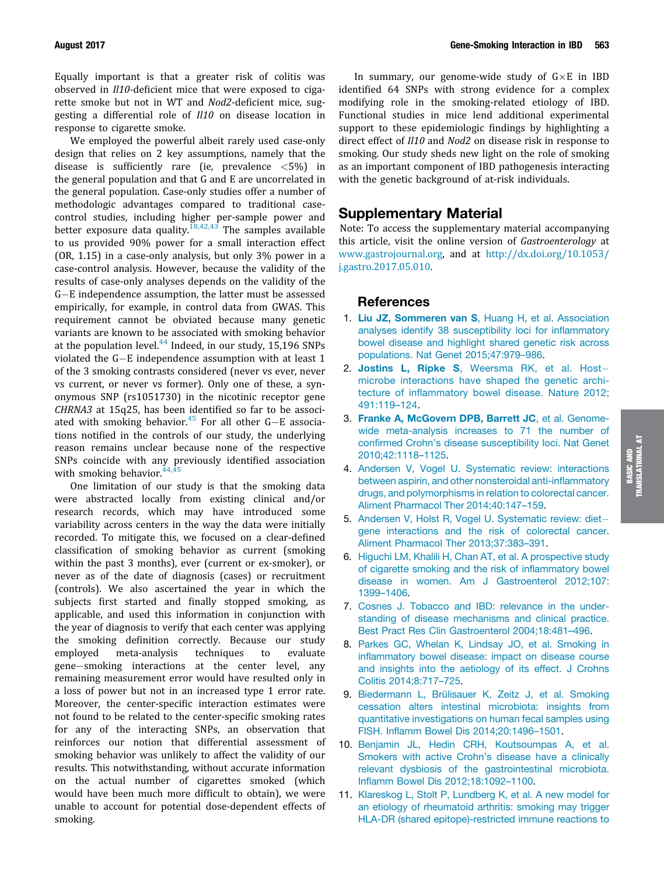Equally important is that a greater risk of colitis was observed in Il10-deficient mice that were exposed to cigarette smoke but not in WT and Nod2-deficient mice, suggesting a differential role of Il10 on disease location in response to cigarette smoke.

We employed the powerful albeit rarely used case-only design that relies on 2 key assumptions, namely that the disease is sufficiently rare (ie, prevalence  $\langle 5\% \rangle$  in the general population and that G and E are uncorrelated in the general population. Case-only studies offer a number of methodologic advantages compared to traditional casecontrol studies, including higher per-sample power and better exposure data quality.<sup>18,42,43</sup> The samples available to us provided 90% power for a small interaction effect (OR, 1.15) in a case-only analysis, but only 3% power in a case-control analysis. However, because the validity of the results of case-only analyses depends on the validity of the G-E independence assumption, the latter must be assessed empirically, for example, in control data from GWAS. This requirement cannot be obviated because many genetic variants are known to be associated with smoking behavior at the population level. $44$  Indeed, in our study, 15,196 SNPs violated the  $G-E$  independence assumption with at least 1 of the 3 smoking contrasts considered (never vs ever, never vs current, or never vs former). Only one of these, a synonymous SNP (rs1051730) in the nicotinic receptor gene CHRNA3 at 15q25, has been identified so far to be associated with smoking behavior.<sup>45</sup> For all other  $G-E$  associations notified in the controls of our study, the underlying reason remains unclear because none of the respective SNPs coincide with any previously identified association with smoking behavior.  $44,45$ 

One limitation of our study is that the smoking data were abstracted locally from existing clinical and/or research records, which may have introduced some variability across centers in the way the data were initially recorded. To mitigate this, we focused on a clear-defined classification of smoking behavior as current (smoking within the past 3 months), ever (current or ex-smoker), or never as of the date of diagnosis (cases) or recruitment (controls). We also ascertained the year in which the subjects first started and finally stopped smoking, as applicable, and used this information in conjunction with the year of diagnosis to verify that each center was applying the smoking definition correctly. Because our study employed meta-analysis techniques to evaluate gene-smoking interactions at the center level, any remaining measurement error would have resulted only in a loss of power but not in an increased type 1 error rate. Moreover, the center-specific interaction estimates were not found to be related to the center-specific smoking rates for any of the interacting SNPs, an observation that reinforces our notion that differential assessment of smoking behavior was unlikely to affect the validity of our results. This notwithstanding, without accurate information on the actual number of cigarettes smoked (which would have been much more difficult to obtain), we were unable to account for potential dose-dependent effects of smoking.

In summary, our genome-wide study of  $G \times E$  in IBD identified 64 SNPs with strong evidence for a complex modifying role in the smoking-related etiology of IBD. Functional studies in mice lend additional experimental support to these epidemiologic findings by highlighting a direct effect of  $II10$  and Nod2 on disease risk in response to smoking. Our study sheds new light on the role of smoking as an important component of IBD pathogenesis interacting with the genetic background of at-risk individuals.

# Supplementary Material

Note: To access the supplementary material accompanying this article, visit the online version of Gastroenterology at www.gastrojournal.org, and at http://dx.doi.org/10.1053/ j.gastro.2017.05.010.

## References

- 1. Liu JZ, Sommeren van S, Huang H, et al. Association analyses identify 38 susceptibility loci for inflammatory bowel disease and highlight shared genetic risk across populations. Nat Genet 2015;47:979–986.
- 2. Jostins L, Ripke S, Weersma RK, et al. Hostmicrobe interactions have shaped the genetic architecture of inflammatory bowel disease. Nature 2012; 491:119–124.
- 3. Franke A, McGovern DPB, Barrett JC, et al. Genomewide meta-analysis increases to 71 the number of confirmed Crohn's disease susceptibility loci. Nat Genet 2010;42:1118–1125.
- 4. Andersen V, Vogel U. Systematic review: interactions between aspirin, and other nonsteroidal anti-inflammatory drugs, and polymorphisms in relation to colorectal cancer. Aliment Pharmacol Ther 2014;40:147–159.
- 5. Andersen V, Holst R, Vogel U. Systematic review: diet gene interactions and the risk of colorectal cancer. Aliment Pharmacol Ther 2013;37:383–391.
- 6. Higuchi LM, Khalili H, Chan AT, et al. A prospective study of cigarette smoking and the risk of inflammatory bowel disease in women. Am J Gastroenterol 2012;107: 1399–1406.
- 7. Cosnes J. Tobacco and IBD: relevance in the understanding of disease mechanisms and clinical practice. Best Pract Res Clin Gastroenterol 2004;18:481–496.
- 8. Parkes GC, Whelan K, Lindsay JO, et al. Smoking in inflammatory bowel disease: impact on disease course and insights into the aetiology of its effect. J Crohns Colitis 2014;8:717–725.
- 9. Biedermann L, Brülisauer K, Zeitz J, et al. Smoking cessation alters intestinal microbiota: insights from quantitative investigations on human fecal samples using FISH. Inflamm Bowel Dis 2014;20:1496–1501.
- 10. Benjamin JL, Hedin CRH, Koutsoumpas A, et al. Smokers with active Crohn's disease have a clinically relevant dysbiosis of the gastrointestinal microbiota. Inflamm Bowel Dis 2012;18:1092–1100.
- 11. Klareskog L, Stolt P, Lundberg K, et al. A new model for an etiology of rheumatoid arthritis: smoking may trigger HLA-DR (shared epitope)-restricted immune reactions to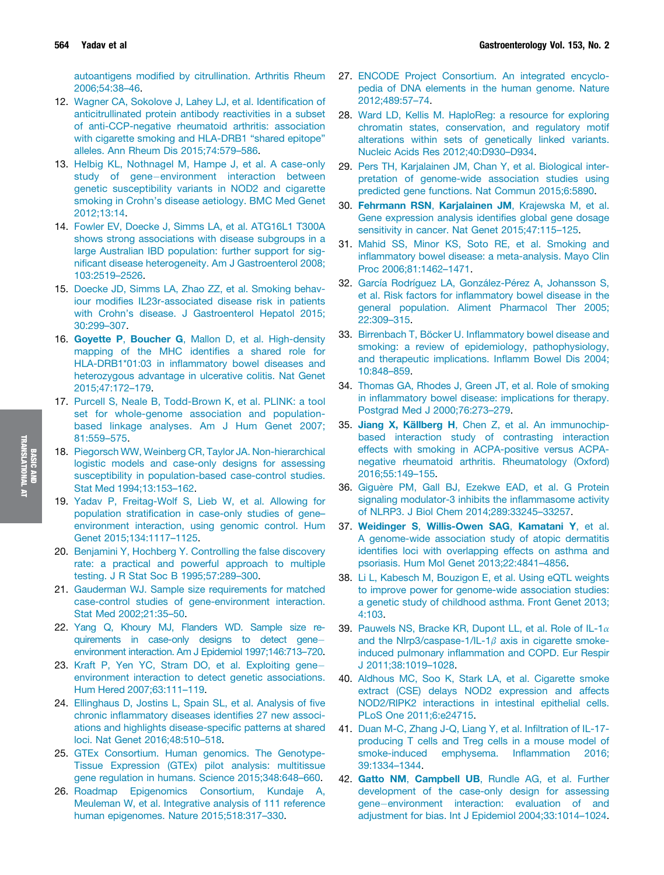autoantigens modified by citrullination. Arthritis Rheum 2006;54:38–46.

- 12. Wagner CA, Sokolove J, Lahey LJ, et al. Identification of anticitrullinated protein antibody reactivities in a subset of anti-CCP-negative rheumatoid arthritis: association with cigarette smoking and HLA-DRB1 "shared epitope" alleles. Ann Rheum Dis 2015;74:579–586.
- 13. Helbig KL, Nothnagel M, Hampe J, et al. A case-only study of gene-environment interaction between genetic susceptibility variants in NOD2 and cigarette smoking in Crohn's disease aetiology. BMC Med Genet 2012;13:14.
- 14. Fowler EV, Doecke J, Simms LA, et al. ATG16L1 T300A shows strong associations with disease subgroups in a large Australian IBD population: further support for significant disease heterogeneity. Am J Gastroenterol 2008; 103:2519–2526.
- 15. Doecke JD, Simms LA, Zhao ZZ, et al. Smoking behaviour modifies IL23r-associated disease risk in patients with Crohn's disease. J Gastroenterol Hepatol 2015; 30:299–307.
- 16. Goyette P, Boucher G, Mallon D, et al. High-density mapping of the MHC identifies a shared role for HLA-DRB1\*01:03 in inflammatory bowel diseases and heterozygous advantage in ulcerative colitis. Nat Genet 2015;47:172–179.
- 17. Purcell S, Neale B, Todd-Brown K, et al. PLINK: a tool set for whole-genome association and populationbased linkage analyses. Am J Hum Genet 2007; 81:559–575.
- 18. Piegorsch WW, Weinberg CR, Taylor JA. Non-hierarchical logistic models and case-only designs for assessing susceptibility in population-based case-control studies. Stat Med 1994;13:153–162.
- 19. Yadav P, Freitag-Wolf S, Lieb W, et al. Allowing for population stratification in case-only studies of gene– environment interaction, using genomic control. Hum Genet 2015;134:1117–1125.
- 20. Benjamini Y, Hochberg Y. Controlling the false discovery rate: a practical and powerful approach to multiple testing. J R Stat Soc B 1995;57:289–300.
- 21. Gauderman WJ. Sample size requirements for matched case-control studies of gene-environment interaction. Stat Med 2002;21:35–50.
- 22. Yang Q, Khoury MJ, Flanders WD. Sample size requirements in case-only designs to detect gene environment interaction. Am J Epidemiol 1997;146:713–720.
- 23. Kraft P, Yen YC, Stram DO, et al. Exploiting gene environment interaction to detect genetic associations. Hum Hered 2007;63:111–119.
- 24. Ellinghaus D, Jostins L, Spain SL, et al. Analysis of five chronic inflammatory diseases identifies 27 new associations and highlights disease-specific patterns at shared loci. Nat Genet 2016;48:510–518.
- 25. GTEx Consortium. Human genomics. The Genotype-Tissue Expression (GTEx) pilot analysis: multitissue gene regulation in humans. Science 2015;348:648–660.
- 26. Roadmap Epigenomics Consortium, Kundaje A, Meuleman W, et al. Integrative analysis of 111 reference human epigenomes. Nature 2015;518:317–330.
- 27. ENCODE Project Consortium. An integrated encyclopedia of DNA elements in the human genome. Nature 2012;489:57–74.
- 28. Ward LD, Kellis M. HaploReg: a resource for exploring chromatin states, conservation, and regulatory motif alterations within sets of genetically linked variants. Nucleic Acids Res 2012;40:D930–D934.
- 29. Pers TH, Karjalainen JM, Chan Y, et al. Biological interpretation of genome-wide association studies using predicted gene functions. Nat Commun 2015;6:5890.
- 30. Fehrmann RSN, Karjalainen JM, Krajewska M, et al. Gene expression analysis identifies global gene dosage sensitivity in cancer. Nat Genet 2015;47:115–125.
- 31. Mahid SS, Minor KS, Soto RE, et al. Smoking and inflammatory bowel disease: a meta-analysis. Mayo Clin Proc 2006;81:1462–1471.
- 32. García Rodríguez LA, González-Pérez A, Johansson S, et al. Risk factors for inflammatory bowel disease in the general population. Aliment Pharmacol Ther 2005; 22:309–315.
- 33. Birrenbach T, Böcker U. Inflammatory bowel disease and smoking: a review of epidemiology, pathophysiology, and therapeutic implications. Inflamm Bowel Dis 2004; 10:848–859.
- 34. Thomas GA, Rhodes J, Green JT, et al. Role of smoking in inflammatory bowel disease: implications for therapy. Postgrad Med J 2000;76:273–279.
- 35. Jiang X, Källberg H, Chen Z, et al. An immunochipbased interaction study of contrasting interaction effects with smoking in ACPA-positive versus ACPAnegative rheumatoid arthritis. Rheumatology (Oxford) 2016;55:149–155.
- 36. Giguère PM, Gall BJ, Ezekwe EAD, et al. G Protein signaling modulator-3 inhibits the inflammasome activity of NLRP3. J Biol Chem 2014;289:33245–33257.
- 37. Weidinger S, Willis-Owen SAG, Kamatani Y, et al. A genome-wide association study of atopic dermatitis identifies loci with overlapping effects on asthma and psoriasis. Hum Mol Genet 2013;22:4841–4856.
- 38. Li L, Kabesch M, Bouzigon E, et al. Using eQTL weights to improve power for genome-wide association studies: a genetic study of childhood asthma. Front Genet 2013; 4:103.
- 39. Pauwels NS, Bracke KR, Dupont LL, et al. Role of IL-1 $\alpha$ and the Nlrp3/caspase-1/IL-1 $\beta$  axis in cigarette smokeinduced pulmonary inflammation and COPD. Eur Respir J 2011;38:1019–1028.
- 40. Aldhous MC, Soo K, Stark LA, et al. Cigarette smoke extract (CSE) delays NOD2 expression and affects NOD2/RIPK2 interactions in intestinal epithelial cells. PLoS One 2011;6:e24715.
- 41. Duan M-C, Zhang J-Q, Liang Y, et al. Infiltration of IL-17 producing T cells and Treg cells in a mouse model of smoke-induced emphysema. Inflammation 2016; 39:1334–1344.
- 42. Gatto NM, Campbell UB, Rundle AG, et al. Further development of the case-only design for assessing gene-environment interaction: evaluation of and adjustment for bias. Int J Epidemiol 2004;33:1014–1024.